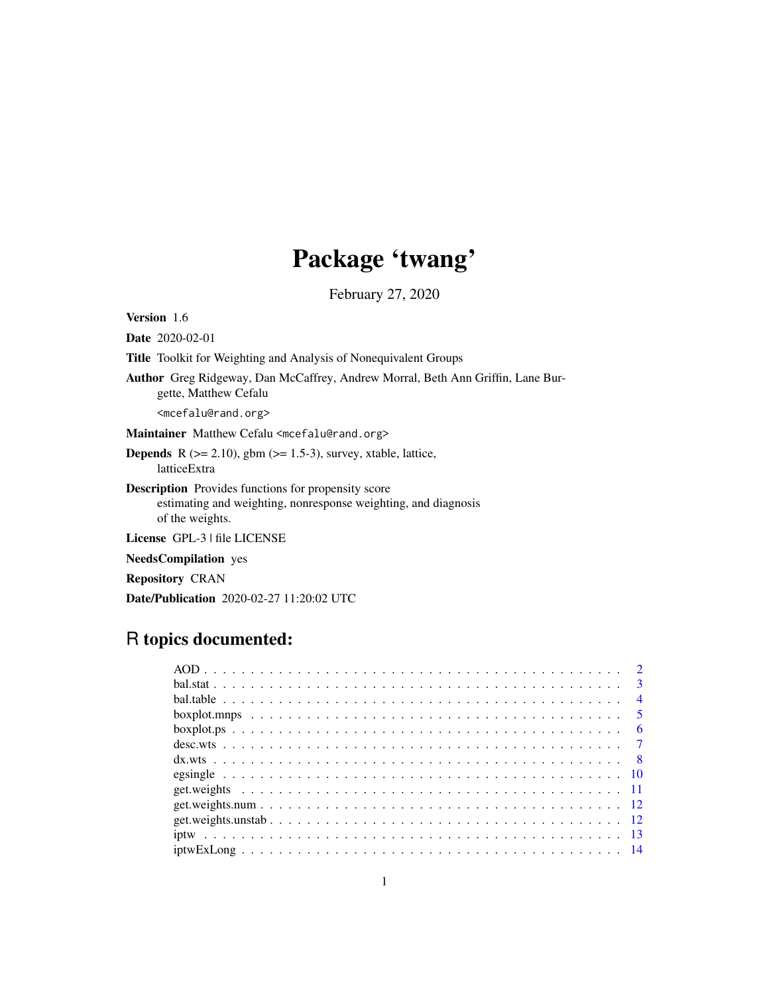# Package 'twang'

February 27, 2020

<span id="page-0-0"></span>Version 1.6

Date 2020-02-01

Title Toolkit for Weighting and Analysis of Nonequivalent Groups

Author Greg Ridgeway, Dan McCaffrey, Andrew Morral, Beth Ann Griffin, Lane Burgette, Matthew Cefalu

<mcefalu@rand.org>

Maintainer Matthew Cefalu <mcefalu@rand.org>

**Depends** R  $(>= 2.10)$ , gbm  $(>= 1.5-3)$ , survey, xtable, lattice, latticeExtra

Description Provides functions for propensity score estimating and weighting, nonresponse weighting, and diagnosis of the weights.

License GPL-3 | file LICENSE

NeedsCompilation yes

Repository CRAN

Date/Publication 2020-02-27 11:20:02 UTC

# R topics documented: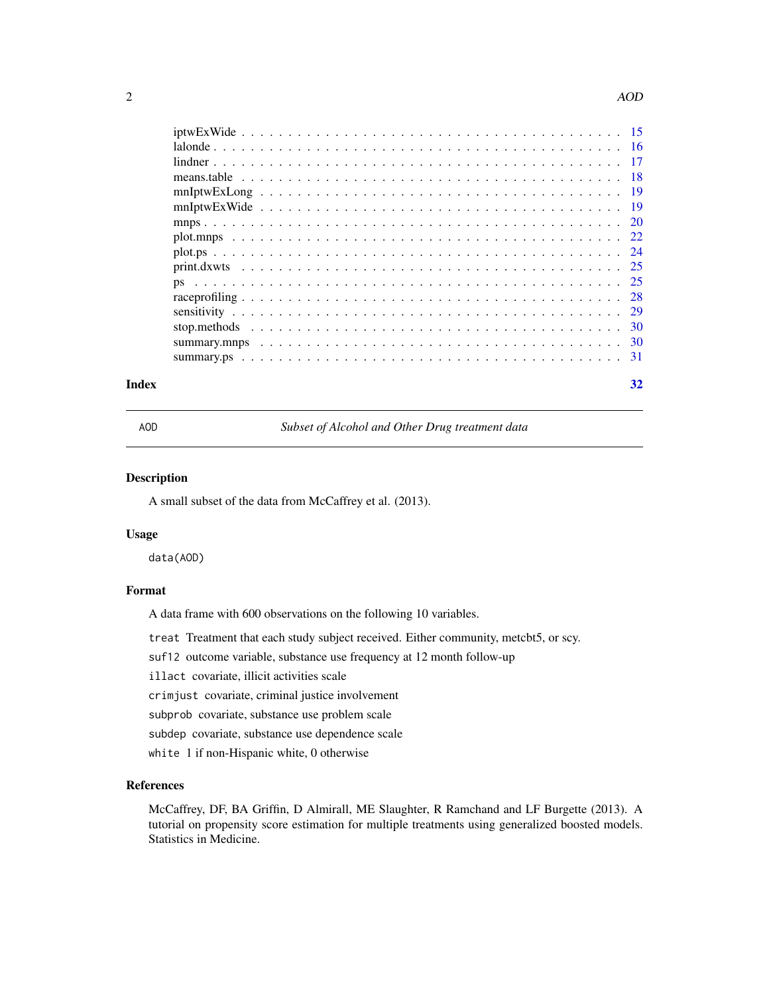#### 2 and 2 and 2 and 2 and 2 and 2 and 2 and 2 and 2 and 2 and 2 and 2 and 2 and 2 and 2 and 2 and 2 and 2 and 2 and 2 and 2 and 2 and 2 and 2 and 2 and 2 and 2 and 2 and 2 and 2 and 2 and 2 and 2 and 2 and 2 and 2 and 2 and

| $mnIptwExLong$ |  |
|----------------|--|
|                |  |
|                |  |
|                |  |
|                |  |
|                |  |
|                |  |
|                |  |
|                |  |
|                |  |
|                |  |
|                |  |
|                |  |

#### **Index** [32](#page-31-0)

AOD *Subset of Alcohol and Other Drug treatment data*

# Description

A small subset of the data from McCaffrey et al. (2013).

#### Usage

data(AOD)

# Format

A data frame with 600 observations on the following 10 variables.

treat Treatment that each study subject received. Either community, metcbt5, or scy.

suf12 outcome variable, substance use frequency at 12 month follow-up

illact covariate, illicit activities scale

crimjust covariate, criminal justice involvement

subprob covariate, substance use problem scale

subdep covariate, substance use dependence scale

white 1 if non-Hispanic white, 0 otherwise

# References

McCaffrey, DF, BA Griffin, D Almirall, ME Slaughter, R Ramchand and LF Burgette (2013). A tutorial on propensity score estimation for multiple treatments using generalized boosted models. Statistics in Medicine.

<span id="page-1-0"></span>

| ۰      |
|--------|
| I      |
| I      |
| ٦<br>٦ |
|        |
|        |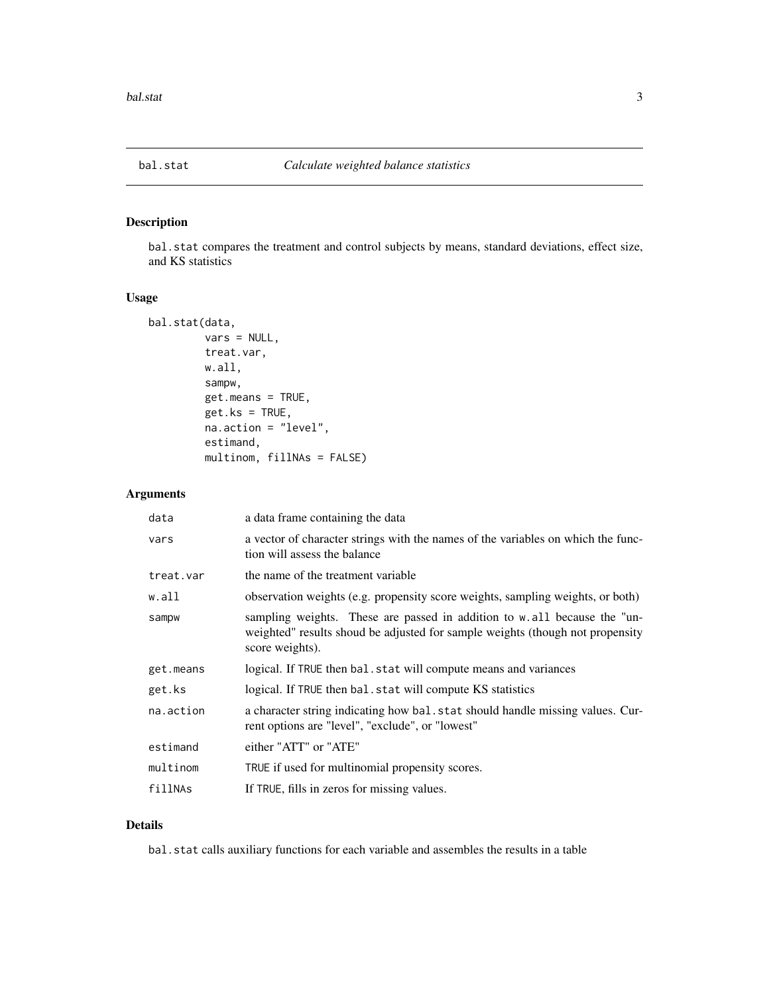<span id="page-2-1"></span><span id="page-2-0"></span>

bal.stat compares the treatment and control subjects by means, standard deviations, effect size, and KS statistics

# Usage

```
bal.stat(data,
         vars = NULL,
         treat.var,
         w.all,
         sampw,
         get.means = TRUE,
         get.ks = TRUE,
         na.action = "level",
         estimand,
         multinom, fillNAs = FALSE)
```
# Arguments

| data      | a data frame containing the data                                                                                                                                             |
|-----------|------------------------------------------------------------------------------------------------------------------------------------------------------------------------------|
| vars      | a vector of character strings with the names of the variables on which the func-<br>tion will assess the balance                                                             |
| treat.var | the name of the treatment variable                                                                                                                                           |
| w.all     | observation weights (e.g. propensity score weights, sampling weights, or both)                                                                                               |
| sampw     | sampling weights. These are passed in addition to w.all because the "un-<br>weighted" results shoud be adjusted for sample weights (though not propensity<br>score weights). |
| get.means | logical. If TRUE then bal. stat will compute means and variances                                                                                                             |
| get.ks    | logical. If TRUE then bal. stat will compute KS statistics                                                                                                                   |
| na.action | a character string indicating how bal. stat should handle missing values. Cur-<br>rent options are "level", "exclude", or "lowest"                                           |
| estimand  | either "ATT" or "ATE"                                                                                                                                                        |
| multinom  | TRUE if used for multinomial propensity scores.                                                                                                                              |
| fillNAs   | If TRUE, fills in zeros for missing values.                                                                                                                                  |

# Details

bal.stat calls auxiliary functions for each variable and assembles the results in a table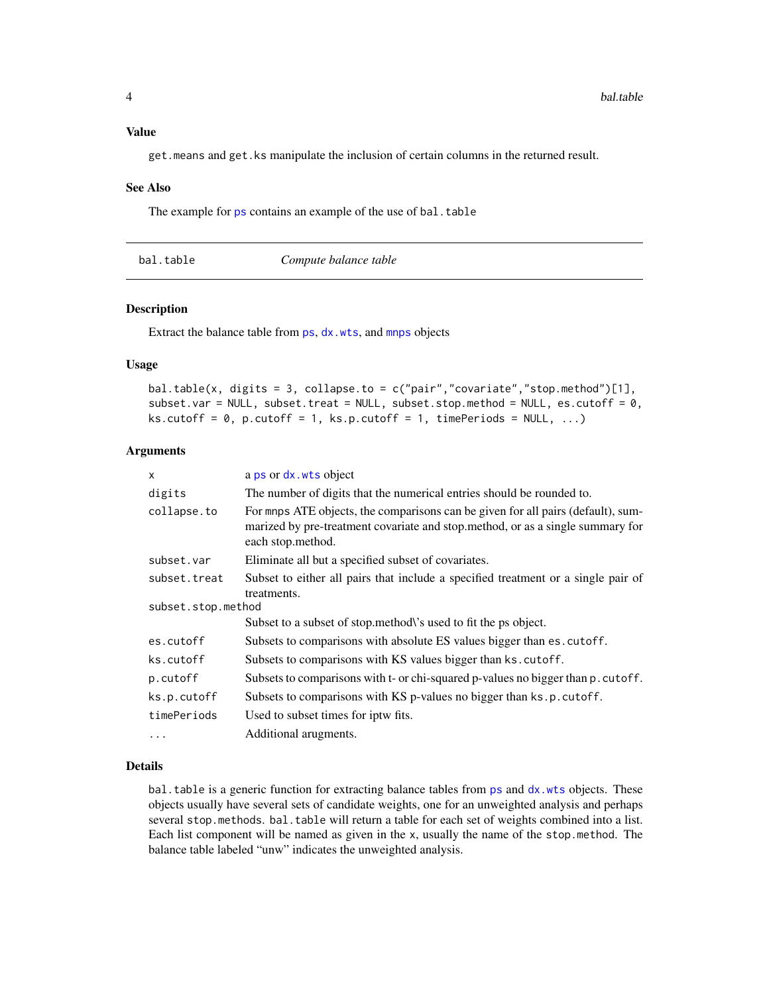## <span id="page-3-0"></span>Value

get.means and get.ks manipulate the inclusion of certain columns in the returned result.

#### See Also

The example for [ps](#page-24-1) contains an example of the use of bal.table

<span id="page-3-1"></span>

|  | bal.table |
|--|-----------|
|  |           |

Compute balance table

#### Description

Extract the balance table from [ps](#page-24-1), [dx.wts](#page-7-1), and [mnps](#page-19-1) objects

#### Usage

```
bal.table(x, digits = 3, collapse.to = c("pair","covariate","stop.method")[1],
subset.var = NULL, subset.treat = NULL, subset.stop.method = NULL, es.cutoff = 0,
ks.cutoff = 0, p.cutoff = 1, ks.p.cutoff = 1, timePeriods = NULL, ...)
```
#### **Arguments**

| $\mathsf{x}$       | a ps or dx. wts object                                                                                                                                                                  |
|--------------------|-----------------------------------------------------------------------------------------------------------------------------------------------------------------------------------------|
| digits             | The number of digits that the numerical entries should be rounded to.                                                                                                                   |
| collapse.to        | For mnps ATE objects, the comparisons can be given for all pairs (default), sum-<br>marized by pre-treatment covariate and stop.method, or as a single summary for<br>each stop.method. |
| subset.var         | Eliminate all but a specified subset of covariates.                                                                                                                                     |
| subset.treat       | Subset to either all pairs that include a specified treatment or a single pair of<br>treatments.                                                                                        |
| subset.stop.method |                                                                                                                                                                                         |
|                    | Subset to a subset of stop.method\'s used to fit the ps object.                                                                                                                         |
| es.cutoff          | Subsets to comparisons with absolute ES values bigger than es. cutoff.                                                                                                                  |
| ks.cutoff          | Subsets to comparisons with KS values bigger than ks. cutoff.                                                                                                                           |
| p.cutoff           | Subsets to comparisons with t- or chi-squared p-values no bigger than p. cutoff.                                                                                                        |
| ks.p.cutoff        | Subsets to comparisons with KS p-values no bigger than ks.p.cutoff.                                                                                                                     |
| timePeriods        | Used to subset times for iptw fits.                                                                                                                                                     |
| .                  | Additional arugments.                                                                                                                                                                   |

#### Details

bal.table is a generic function for extracting balance tables from [ps](#page-24-1) and [dx.wts](#page-7-1) objects. These objects usually have several sets of candidate weights, one for an unweighted analysis and perhaps several stop.methods. bal.table will return a table for each set of weights combined into a list. Each list component will be named as given in the x, usually the name of the stop.method. The balance table labeled "unw" indicates the unweighted analysis.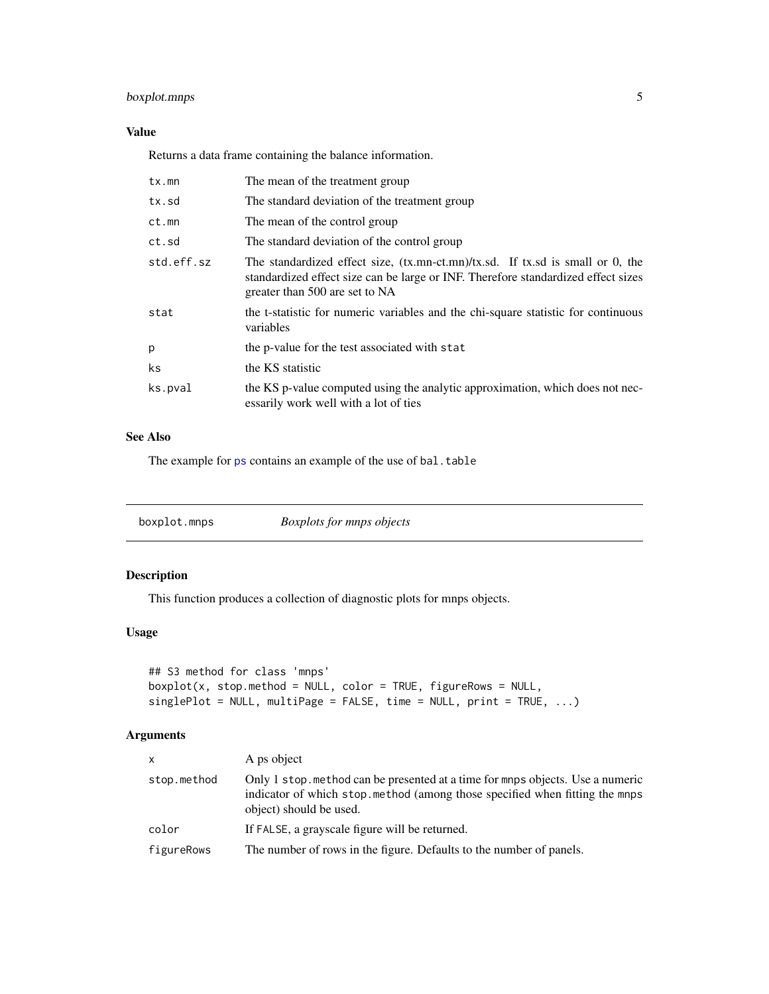# <span id="page-4-0"></span>boxplot.mnps 5

# Value

Returns a data frame containing the balance information.

| tx.mn      | The mean of the treatment group                                                                                                                                                                          |
|------------|----------------------------------------------------------------------------------------------------------------------------------------------------------------------------------------------------------|
| tx.sd      | The standard deviation of the treatment group                                                                                                                                                            |
| ct.mn      | The mean of the control group                                                                                                                                                                            |
| ct.sd      | The standard deviation of the control group                                                                                                                                                              |
| std.eff.sz | The standardized effect size, $(tx.mn-ct.mn)/tx$ .sd. If tx.sd is small or 0, the<br>standardized effect size can be large or INF. Therefore standardized effect sizes<br>greater than 500 are set to NA |
| stat       | the t-statistic for numeric variables and the chi-square statistic for continuous<br>variables                                                                                                           |
| р          | the p-value for the test associated with stat                                                                                                                                                            |
| ks         | the KS statistic                                                                                                                                                                                         |
| ks.pval    | the KS p-value computed using the analytic approximation, which does not nec-<br>essarily work well with a lot of ties                                                                                   |

## See Also

The example for [ps](#page-24-1) contains an example of the use of bal.table

| <b>Boxplots for mnps objects</b> |
|----------------------------------|
|----------------------------------|

# Description

This function produces a collection of diagnostic plots for mnps objects.

#### Usage

```
## S3 method for class 'mnps'
boxplot(x, stop.method = NULL, color = TRUE, figureRows = NULL,
singlePlot = NULL, multiPage = FALSE, time = NULL, print = TRUE, ...)
```

| $\mathsf{x}$ | A ps object                                                                                                                                                                             |
|--------------|-----------------------------------------------------------------------------------------------------------------------------------------------------------------------------------------|
| stop.method  | Only 1 stop method can be presented at a time for mnps objects. Use a numeric<br>indicator of which stop method (among those specified when fitting the mnps<br>object) should be used. |
| color        | If FALSE, a grayscale figure will be returned.                                                                                                                                          |
| figureRows   | The number of rows in the figure. Defaults to the number of panels.                                                                                                                     |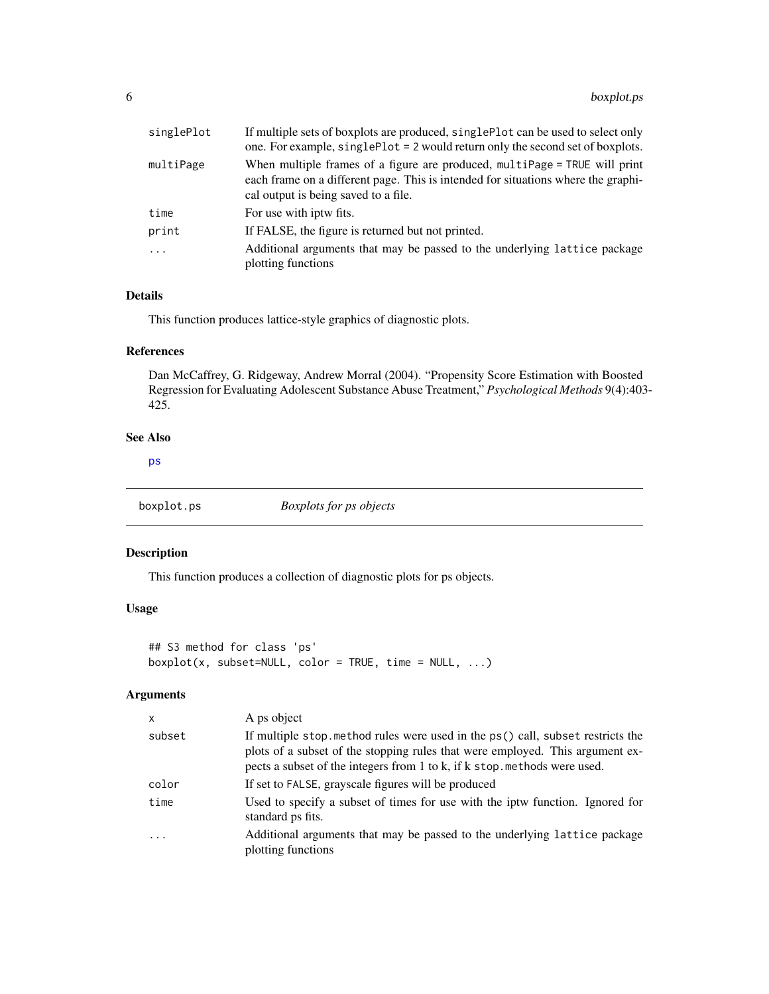<span id="page-5-0"></span>

| singlePlot | If multiple sets of boxplots are produced, singlePlot can be used to select only<br>one. For example, singlePlot = 2 would return only the second set of boxplots.                                      |
|------------|---------------------------------------------------------------------------------------------------------------------------------------------------------------------------------------------------------|
| multiPage  | When multiple frames of a figure are produced, multipage = TRUE will print<br>each frame on a different page. This is intended for situations where the graphi-<br>cal output is being saved to a file. |
| time       | For use with jptw fits.                                                                                                                                                                                 |
| print      | If FALSE, the figure is returned but not printed.                                                                                                                                                       |
| $\cdots$   | Additional arguments that may be passed to the underlying lattice package<br>plotting functions                                                                                                         |

# Details

This function produces lattice-style graphics of diagnostic plots.

# References

Dan McCaffrey, G. Ridgeway, Andrew Morral (2004). "Propensity Score Estimation with Boosted Regression for Evaluating Adolescent Substance Abuse Treatment," *Psychological Methods* 9(4):403- 425.

#### See Also

[ps](#page-24-1)

boxplot.ps *Boxplots for ps objects*

# Description

This function produces a collection of diagnostic plots for ps objects.

# Usage

```
## S3 method for class 'ps'
boxplot(x, subset=NULL, color = TRUE, time = NULL, ...)
```

| $\boldsymbol{\mathsf{x}}$ | A ps object                                                                                                                                                                                                                                  |
|---------------------------|----------------------------------------------------------------------------------------------------------------------------------------------------------------------------------------------------------------------------------------------|
| subset                    | If multiple stop method rules were used in the ps() call, subset restricts the<br>plots of a subset of the stopping rules that were employed. This argument ex-<br>pects a subset of the integers from 1 to k, if k stop. methods were used. |
| color                     | If set to FALSE, grayscale figures will be produced                                                                                                                                                                                          |
| time                      | Used to specify a subset of times for use with the iptw function. Ignored for<br>standard ps fits.                                                                                                                                           |
| $\ddotsc$                 | Additional arguments that may be passed to the underlying lattice package<br>plotting functions                                                                                                                                              |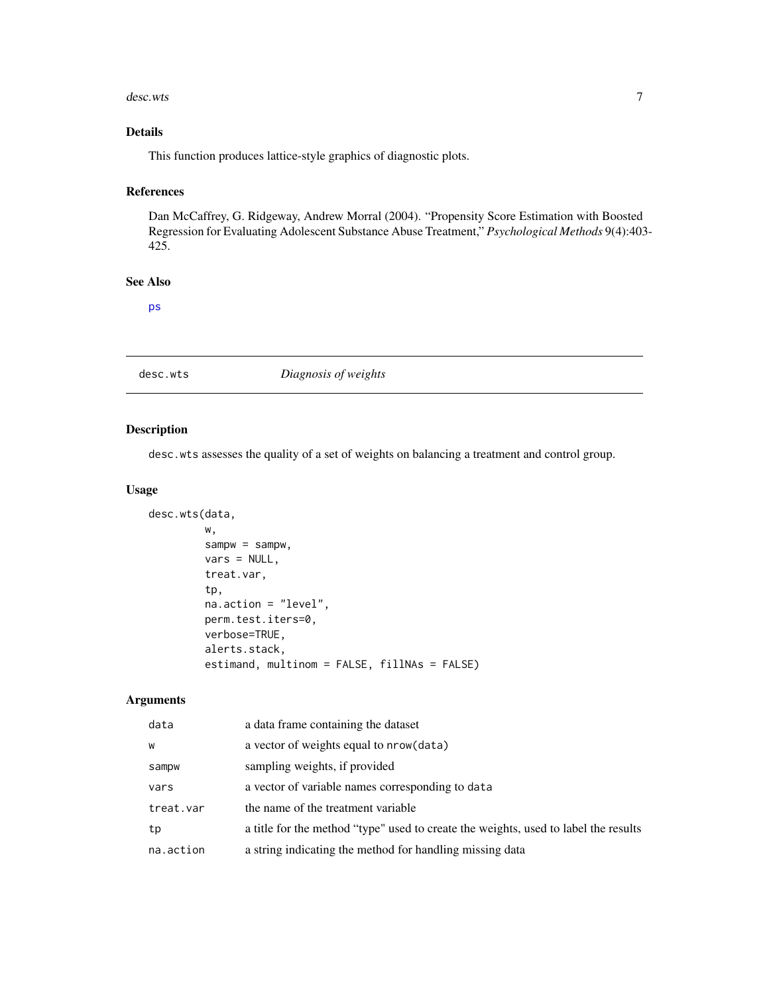#### <span id="page-6-0"></span>desc.wts 7

# Details

This function produces lattice-style graphics of diagnostic plots.

#### References

Dan McCaffrey, G. Ridgeway, Andrew Morral (2004). "Propensity Score Estimation with Boosted Regression for Evaluating Adolescent Substance Abuse Treatment," *Psychological Methods* 9(4):403- 425.

# See Also

[ps](#page-24-1)

# desc.wts *Diagnosis of weights*

# Description

desc.wts assesses the quality of a set of weights on balancing a treatment and control group.

#### Usage

```
desc.wts(data,
         w,
```

```
sampw = sampw,
vars = NULL,
treat.var,
tp,
na.action = "level",
perm.test.iters=0,
verbose=TRUE,
alerts.stack,
estimand, multinom = FALSE, fillNAs = FALSE)
```

| data      | a data frame containing the dataset                                                 |
|-----------|-------------------------------------------------------------------------------------|
| W         | a vector of weights equal to nrow (data)                                            |
| sampw     | sampling weights, if provided                                                       |
| vars      | a vector of variable names corresponding to data                                    |
| treat.var | the name of the treatment variable                                                  |
| tp        | a title for the method "type" used to create the weights, used to label the results |
| na.action | a string indicating the method for handling missing data                            |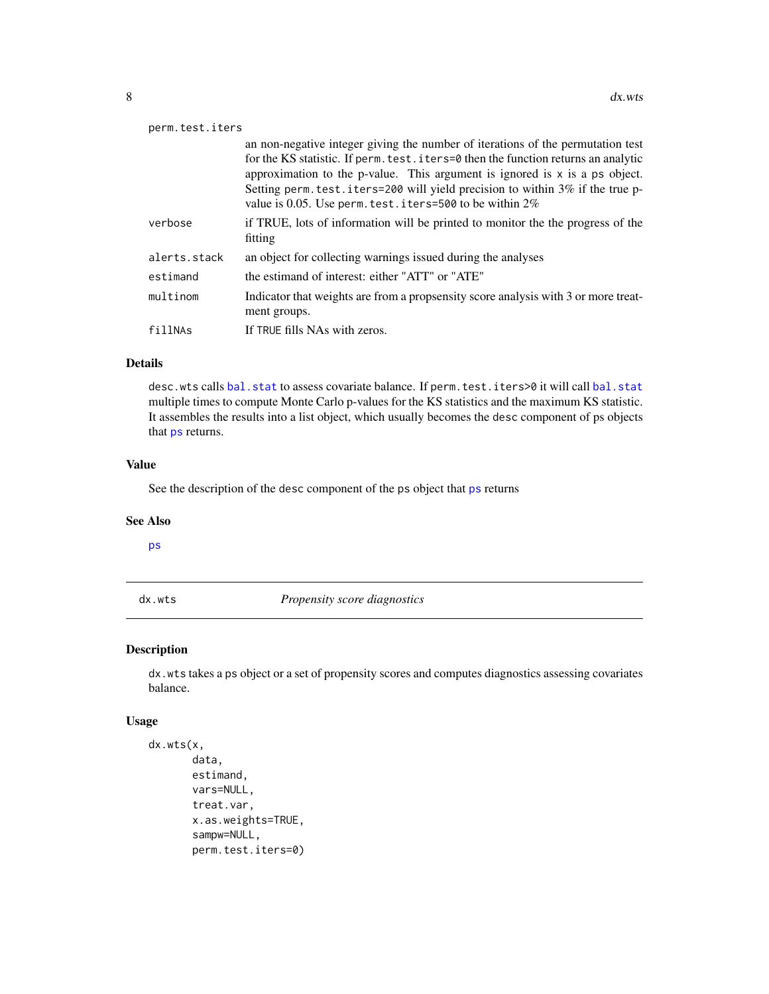<span id="page-7-0"></span>

| perm.test.iters |                                                                                                                                                                                                                                                                                                                                                                                                          |  |
|-----------------|----------------------------------------------------------------------------------------------------------------------------------------------------------------------------------------------------------------------------------------------------------------------------------------------------------------------------------------------------------------------------------------------------------|--|
|                 | an non-negative integer giving the number of iterations of the permutation test<br>for the KS statistic. If perm. test. iters=0 then the function returns an analytic<br>approximation to the p-value. This argument is ignored is $x$ is a ps object.<br>Setting perm. test. i ters=200 will yield precision to within 3% if the true p-<br>value is 0.05. Use perm. test. iters=500 to be within $2\%$ |  |
| verbose         | if TRUE, lots of information will be printed to monitor the the progress of the<br>fitting                                                                                                                                                                                                                                                                                                               |  |
| alerts.stack    | an object for collecting warnings issued during the analyses                                                                                                                                                                                                                                                                                                                                             |  |
| estimand        | the estimand of interest: either "ATT" or "ATE"                                                                                                                                                                                                                                                                                                                                                          |  |
| multinom        | Indicator that weights are from a propsensity score analysis with 3 or more treat-<br>ment groups.                                                                                                                                                                                                                                                                                                       |  |
| fillNAs         | If TRUE fills NAs with zeros.                                                                                                                                                                                                                                                                                                                                                                            |  |

# Details

desc.wts calls [bal.stat](#page-2-1) to assess covariate balance. If perm.test.iters>0 it will call bal.stat multiple times to compute Monte Carlo p-values for the KS statistics and the maximum KS statistic. It assembles the results into a list object, which usually becomes the desc component of ps objects that [ps](#page-24-1) returns.

#### Value

See the description of the desc component of the ps object that [ps](#page-24-1) returns

#### See Also

[ps](#page-24-1)

<span id="page-7-1"></span>dx.wts *Propensity score diagnostics*

# Description

dx.wts takes a ps object or a set of propensity scores and computes diagnostics assessing covariates balance.

## Usage

```
dx.wts(x,
       data,
       estimand,
       vars=NULL,
       treat.var,
       x.as.weights=TRUE,
       sampw=NULL,
       perm.test.iters=0)
```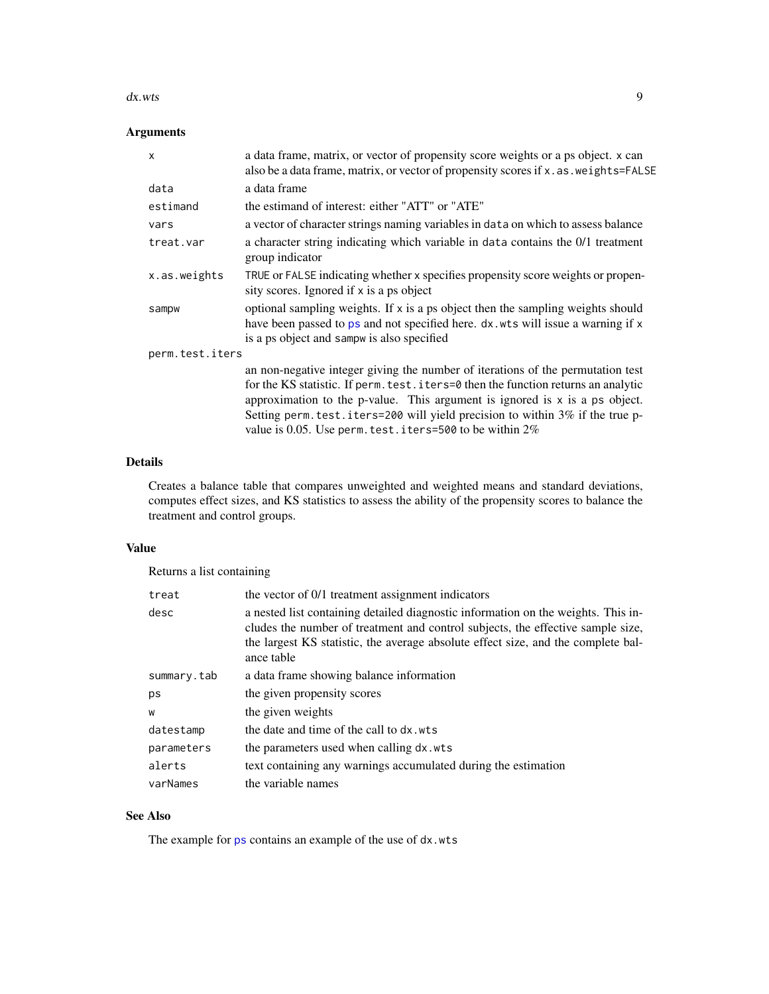#### <span id="page-8-0"></span> $dx.wts$  9

# Arguments

| $\mathsf{x}$    | a data frame, matrix, or vector of propensity score weights or a ps object. x can<br>also be a data frame, matrix, or vector of propensity scores if x . as . weights=FALSE                                                                                                                                                                                                                          |
|-----------------|------------------------------------------------------------------------------------------------------------------------------------------------------------------------------------------------------------------------------------------------------------------------------------------------------------------------------------------------------------------------------------------------------|
| data            | a data frame                                                                                                                                                                                                                                                                                                                                                                                         |
| estimand        | the estimand of interest: either "ATT" or "ATE"                                                                                                                                                                                                                                                                                                                                                      |
| vars            | a vector of character strings naming variables in data on which to assess balance                                                                                                                                                                                                                                                                                                                    |
| treat.var       | a character string indicating which variable in data contains the 0/1 treatment<br>group indicator                                                                                                                                                                                                                                                                                                   |
| x.as.weights    | TRUE or FALSE indicating whether x specifies propensity score weights or propen-<br>sity scores. Ignored if x is a ps object                                                                                                                                                                                                                                                                         |
| sampw           | optional sampling weights. If x is a ps object then the sampling weights should<br>have been passed to ps and not specified here. dx. wts will issue a warning if x<br>is a ps object and sampw is also specified                                                                                                                                                                                    |
| perm.test.iters |                                                                                                                                                                                                                                                                                                                                                                                                      |
|                 | an non-negative integer giving the number of iterations of the permutation test<br>for the KS statistic. If perm. test. iters=0 then the function returns an analytic<br>approximation to the p-value. This argument is ignored is $x$ is a ps object.<br>Setting perm. test. iters=200 will yield precision to within 3% if the true p-<br>value is 0.05. Use perm. test. iters=500 to be within 2% |

#### Details

Creates a balance table that compares unweighted and weighted means and standard deviations, computes effect sizes, and KS statistics to assess the ability of the propensity scores to balance the treatment and control groups.

## Value

Returns a list containing

| treat       | the vector of 0/1 treatment assignment indicators                                                                                                                                                                                                                       |
|-------------|-------------------------------------------------------------------------------------------------------------------------------------------------------------------------------------------------------------------------------------------------------------------------|
| desc        | a nested list containing detailed diagnostic information on the weights. This in-<br>cludes the number of treatment and control subjects, the effective sample size,<br>the largest KS statistic, the average absolute effect size, and the complete bal-<br>ance table |
| summary.tab | a data frame showing balance information                                                                                                                                                                                                                                |
| ps          | the given propensity scores                                                                                                                                                                                                                                             |
| W           | the given weights                                                                                                                                                                                                                                                       |
| datestamp   | the date and time of the call to dx. wts                                                                                                                                                                                                                                |
| parameters  | the parameters used when calling dx.wts                                                                                                                                                                                                                                 |
| alerts      | text containing any warnings accumulated during the estimation                                                                                                                                                                                                          |
| varNames    | the variable names                                                                                                                                                                                                                                                      |

# See Also

The example for [ps](#page-24-1) contains an example of the use of dx.wts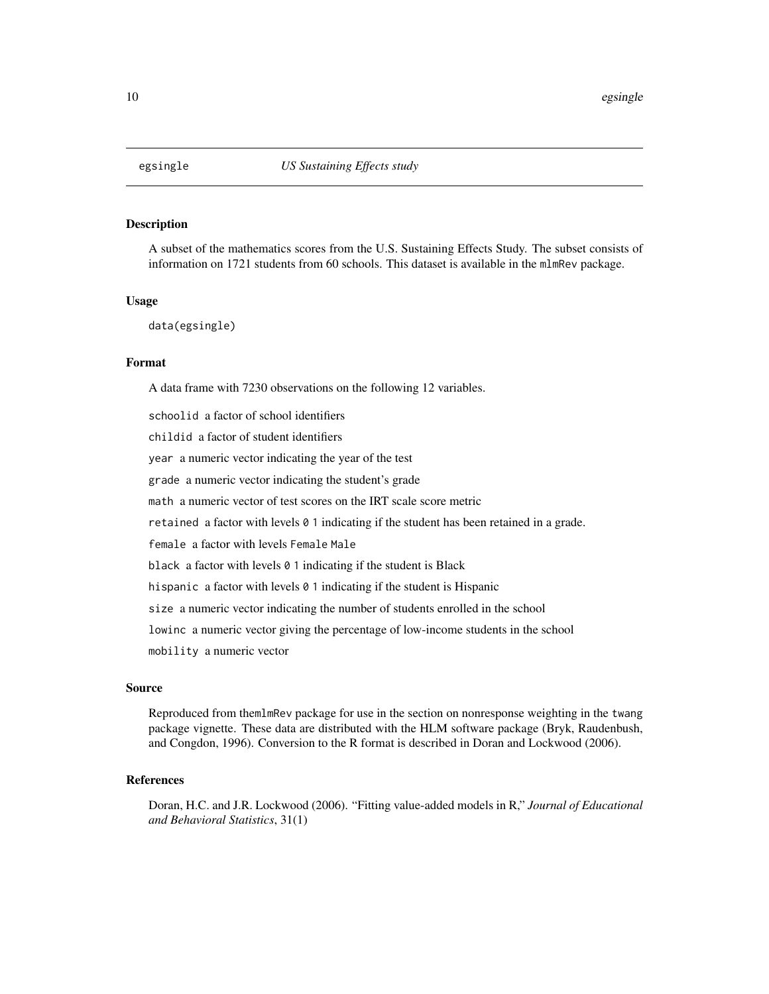<span id="page-9-0"></span>

A subset of the mathematics scores from the U.S. Sustaining Effects Study. The subset consists of information on 1721 students from 60 schools. This dataset is available in the mlmRev package.

#### Usage

data(egsingle)

#### Format

A data frame with 7230 observations on the following 12 variables.

schoolid a factor of school identifiers childid a factor of student identifiers year a numeric vector indicating the year of the test grade a numeric vector indicating the student's grade math a numeric vector of test scores on the IRT scale score metric retained a factor with levels 0 1 indicating if the student has been retained in a grade. female a factor with levels Female Male black a factor with levels 0 1 indicating if the student is Black hispanic a factor with levels 0 1 indicating if the student is Hispanic size a numeric vector indicating the number of students enrolled in the school lowinc a numeric vector giving the percentage of low-income students in the school mobility a numeric vector

## Source

Reproduced from themlmRev package for use in the section on nonresponse weighting in the twang package vignette. These data are distributed with the HLM software package (Bryk, Raudenbush, and Congdon, 1996). Conversion to the R format is described in Doran and Lockwood (2006).

## References

Doran, H.C. and J.R. Lockwood (2006). "Fitting value-added models in R," *Journal of Educational and Behavioral Statistics*, 31(1)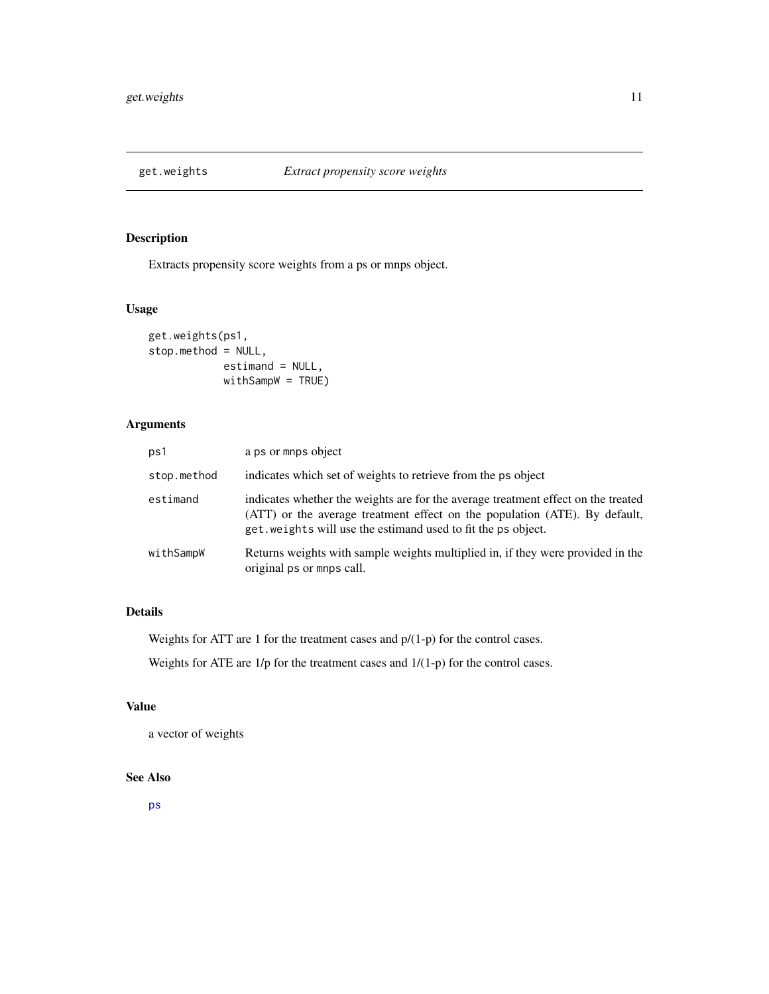<span id="page-10-0"></span>

Extracts propensity score weights from a ps or mnps object.

# Usage

```
get.weights(ps1,
stop.method = NULL,
            estimand = NULL,
            withSampW = TRUE)
```
# Arguments

| ps1         | a ps or mnps object                                                                                                                                                                                                              |
|-------------|----------------------------------------------------------------------------------------------------------------------------------------------------------------------------------------------------------------------------------|
| stop.method | indicates which set of weights to retrieve from the ps object                                                                                                                                                                    |
| estimand    | indicates whether the weights are for the average treatment effect on the treated<br>(ATT) or the average treatment effect on the population (ATE). By default,<br>get. weights will use the estimand used to fit the ps object. |
| withSampW   | Returns weights with sample weights multiplied in, if they were provided in the<br>original ps or mnps call.                                                                                                                     |

# Details

Weights for ATT are 1 for the treatment cases and p/(1-p) for the control cases.

Weights for ATE are 1/p for the treatment cases and 1/(1-p) for the control cases.

# Value

a vector of weights

# See Also

[ps](#page-24-1)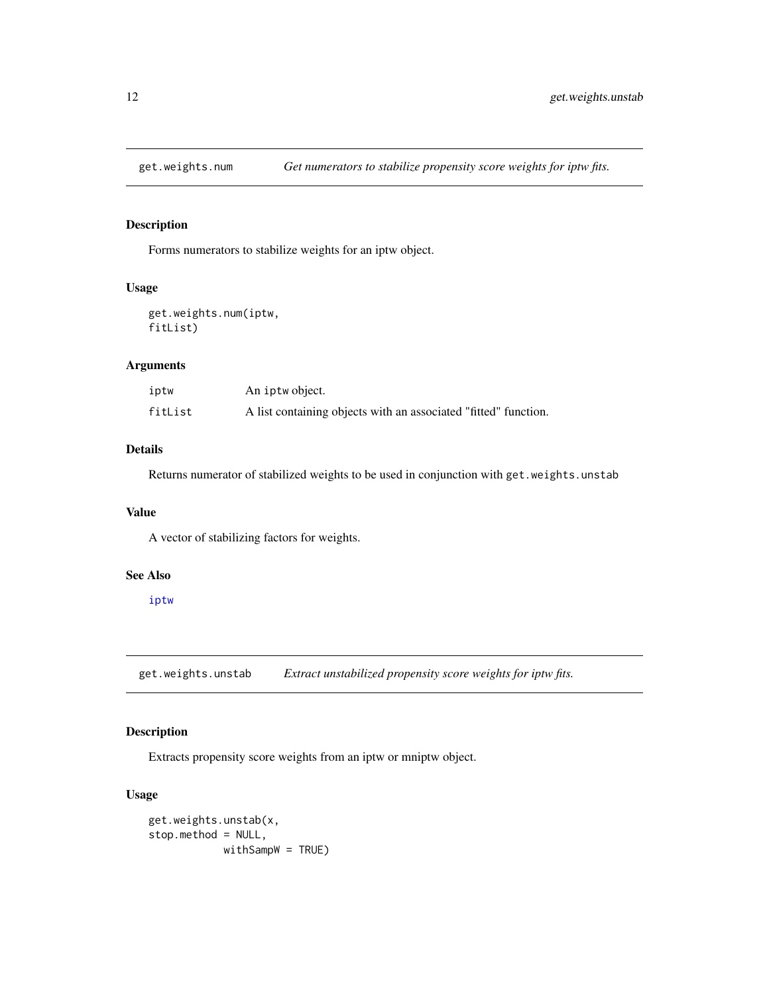<span id="page-11-0"></span>

Forms numerators to stabilize weights for an iptw object.

#### Usage

get.weights.num(iptw, fitList)

# Arguments

| iptw    | An iptwobject.                                                  |
|---------|-----------------------------------------------------------------|
| fitList | A list containing objects with an associated "fitted" function. |

# Details

Returns numerator of stabilized weights to be used in conjunction with get.weights.unstab

# Value

A vector of stabilizing factors for weights.

#### See Also

[iptw](#page-12-1)

get.weights.unstab *Extract unstabilized propensity score weights for iptw fits.*

# Description

Extracts propensity score weights from an iptw or mniptw object.

## Usage

```
get.weights.unstab(x,
stop.method = NULL,
            withSampW = TRUE)
```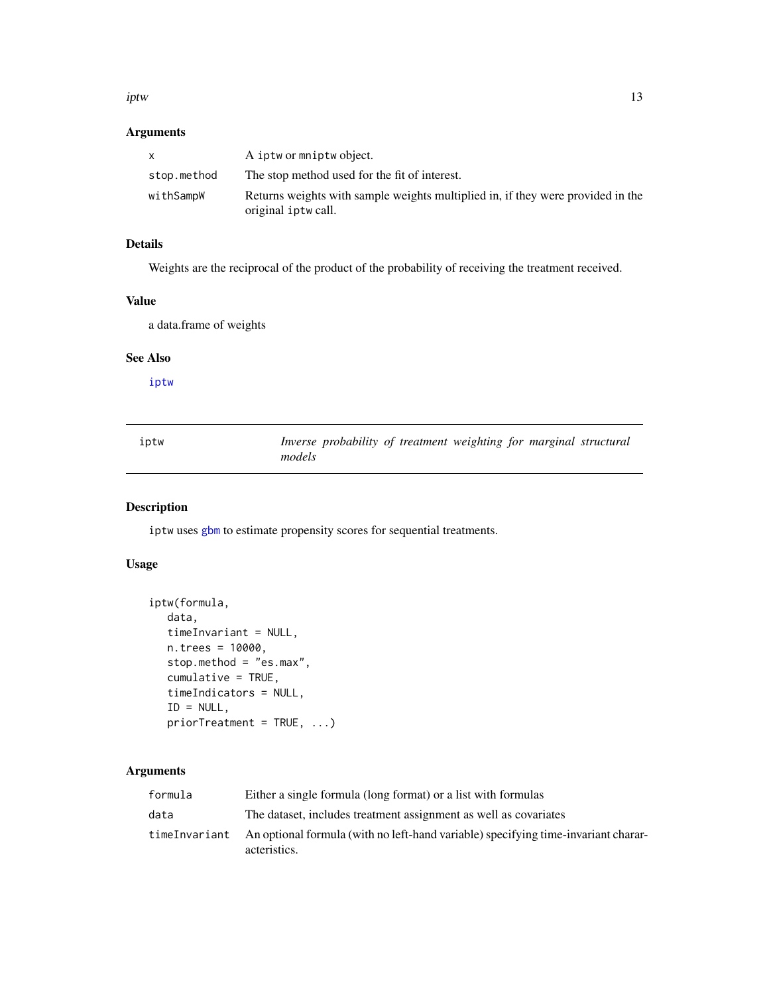<span id="page-12-0"></span>iptw the contract of the contract of the contract of the contract of the contract of the contract of the contract of the contract of the contract of the contract of the contract of the contract of the contract of the contr

# Arguments

| X           | A iptw or mniptw object.                                                                              |
|-------------|-------------------------------------------------------------------------------------------------------|
| stop.method | The stop method used for the fit of interest.                                                         |
| withSampW   | Returns weights with sample weights multiplied in, if they were provided in the<br>original iptwcall. |

# Details

Weights are the reciprocal of the product of the probability of receiving the treatment received.

# Value

a data.frame of weights

## See Also

[iptw](#page-12-1)

<span id="page-12-1"></span>

| iptw | Inverse probability of treatment weighting for marginal structural |
|------|--------------------------------------------------------------------|
|      | models                                                             |

# Description

iptw uses [gbm](#page-0-0) to estimate propensity scores for sequential treatments.

# Usage

```
iptw(formula,
  data,
  timeInvariant = NULL,
  n.trees = 10000,
  stop.method = "es.max",
  cumulative = TRUE,
  timeIndicators = NULL,
  ID = NULL,priorTreatment = TRUE, ...)
```

| formula | Either a single formula (long format) or a list with formulas                                                     |
|---------|-------------------------------------------------------------------------------------------------------------------|
| data    | The dataset, includes treatment assignment as well as covariates                                                  |
|         | time Invariant An optional formula (with no left-hand variable) specifying time-invariant charar-<br>acteristics. |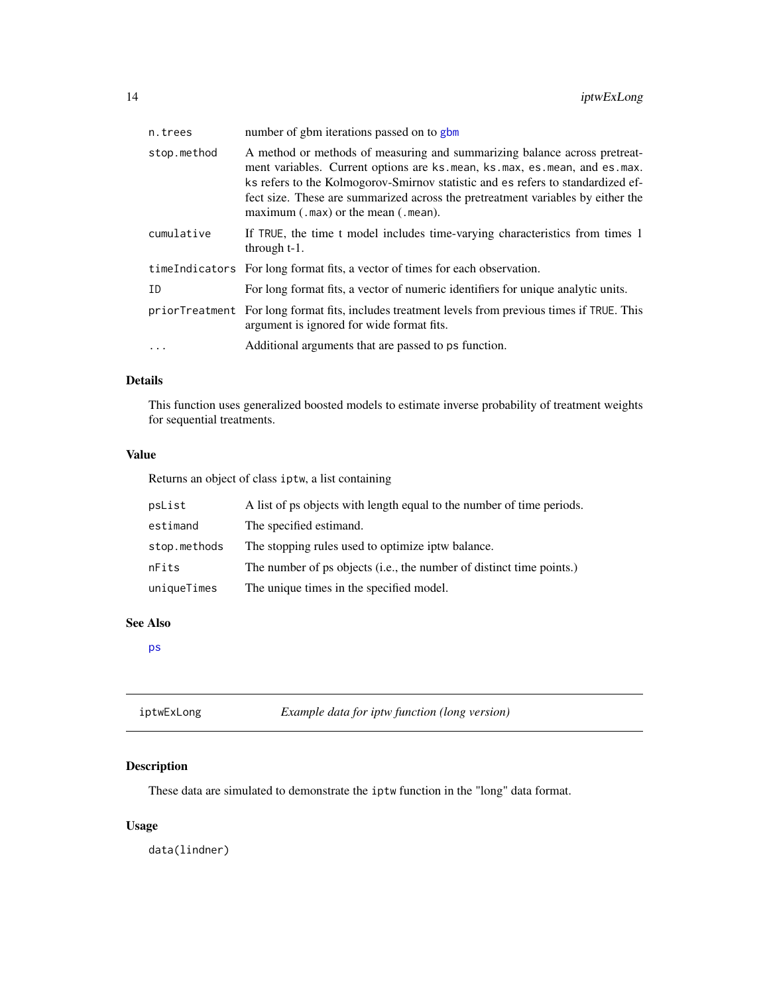<span id="page-13-0"></span>

| n.trees     | number of gbm iterations passed on to gbm                                                                                                                                                                                                                                                                                                                                   |
|-------------|-----------------------------------------------------------------------------------------------------------------------------------------------------------------------------------------------------------------------------------------------------------------------------------------------------------------------------------------------------------------------------|
| stop.method | A method or methods of measuring and summarizing balance across pretreat-<br>ment variables. Current options are ks. mean, ks. max, es. mean, and es. max.<br>ks refers to the Kolmogorov-Smirnov statistic and es refers to standardized ef-<br>fect size. These are summarized across the pretreatment variables by either the<br>$maximum(.max)$ or the mean $(.mean)$ . |
| cumulative  | If TRUE, the time t model includes time-varying characteristics from times 1<br>through $t-1$ .                                                                                                                                                                                                                                                                             |
|             | time Indicators For long format fits, a vector of times for each observation.                                                                                                                                                                                                                                                                                               |
| ID          | For long format fits, a vector of numeric identifiers for unique analytic units.                                                                                                                                                                                                                                                                                            |
|             | priorTreatment For long format fits, includes treatment levels from previous times if TRUE. This<br>argument is ignored for wide format fits.                                                                                                                                                                                                                               |
| $\cdot$     | Additional arguments that are passed to ps function.                                                                                                                                                                                                                                                                                                                        |

# Details

This function uses generalized boosted models to estimate inverse probability of treatment weights for sequential treatments.

# Value

Returns an object of class iptw, a list containing

| psList       | A list of ps objects with length equal to the number of time periods. |
|--------------|-----------------------------------------------------------------------|
| estimand     | The specified estimand.                                               |
| stop.methods | The stopping rules used to optimize iptw balance.                     |
| nFits        | The number of ps objects (i.e., the number of distinct time points.)  |
| uniqueTimes  | The unique times in the specified model.                              |

#### See Also

[ps](#page-24-1)

| iptwExLong | Example data for iptw function (long version) |
|------------|-----------------------------------------------|
|------------|-----------------------------------------------|

# Description

These data are simulated to demonstrate the iptw function in the "long" data format.

# Usage

data(lindner)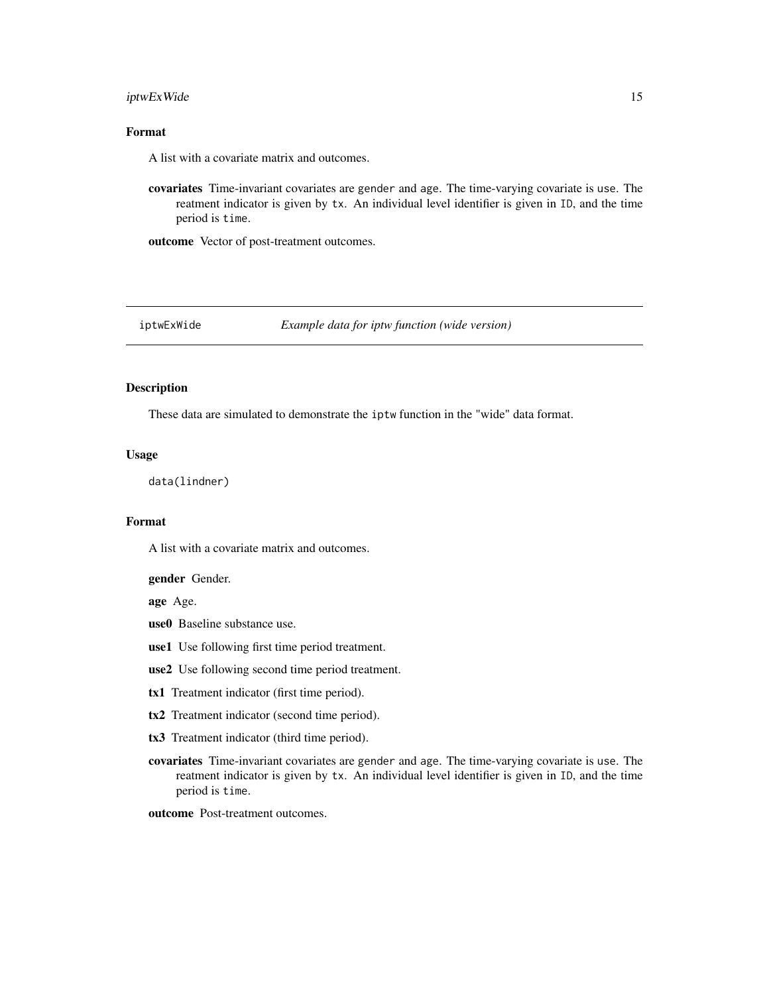#### <span id="page-14-0"></span>iptwExWide 15

# Format

A list with a covariate matrix and outcomes.

covariates Time-invariant covariates are gender and age. The time-varying covariate is use. The reatment indicator is given by tx. An individual level identifier is given in ID, and the time period is time.

outcome Vector of post-treatment outcomes.

iptwExWide *Example data for iptw function (wide version)*

## Description

These data are simulated to demonstrate the iptw function in the "wide" data format.

# Usage

data(lindner)

#### Format

A list with a covariate matrix and outcomes.

gender Gender.

age Age.

- use0 Baseline substance use.
- use1 Use following first time period treatment.
- use2 Use following second time period treatment.
- tx1 Treatment indicator (first time period).
- tx2 Treatment indicator (second time period).
- tx3 Treatment indicator (third time period).
- covariates Time-invariant covariates are gender and age. The time-varying covariate is use. The reatment indicator is given by tx. An individual level identifier is given in ID, and the time period is time.
- outcome Post-treatment outcomes.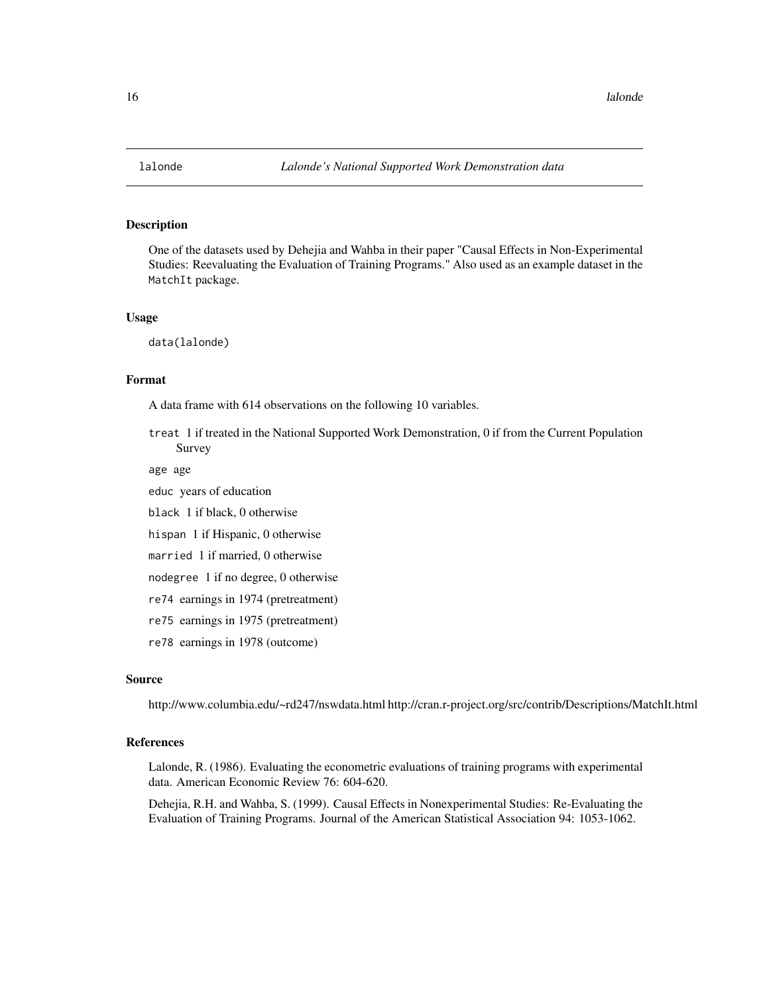<span id="page-15-0"></span>

One of the datasets used by Dehejia and Wahba in their paper "Causal Effects in Non-Experimental Studies: Reevaluating the Evaluation of Training Programs." Also used as an example dataset in the MatchIt package.

#### Usage

data(lalonde)

# Format

A data frame with 614 observations on the following 10 variables.

treat 1 if treated in the National Supported Work Demonstration, 0 if from the Current Population Survey

age age

educ years of education

black 1 if black, 0 otherwise

hispan 1 if Hispanic, 0 otherwise

married 1 if married, 0 otherwise

nodegree 1 if no degree, 0 otherwise

re74 earnings in 1974 (pretreatment)

re75 earnings in 1975 (pretreatment)

re78 earnings in 1978 (outcome)

#### Source

http://www.columbia.edu/~rd247/nswdata.html http://cran.r-project.org/src/contrib/Descriptions/MatchIt.html

#### References

Lalonde, R. (1986). Evaluating the econometric evaluations of training programs with experimental data. American Economic Review 76: 604-620.

Dehejia, R.H. and Wahba, S. (1999). Causal Effects in Nonexperimental Studies: Re-Evaluating the Evaluation of Training Programs. Journal of the American Statistical Association 94: 1053-1062.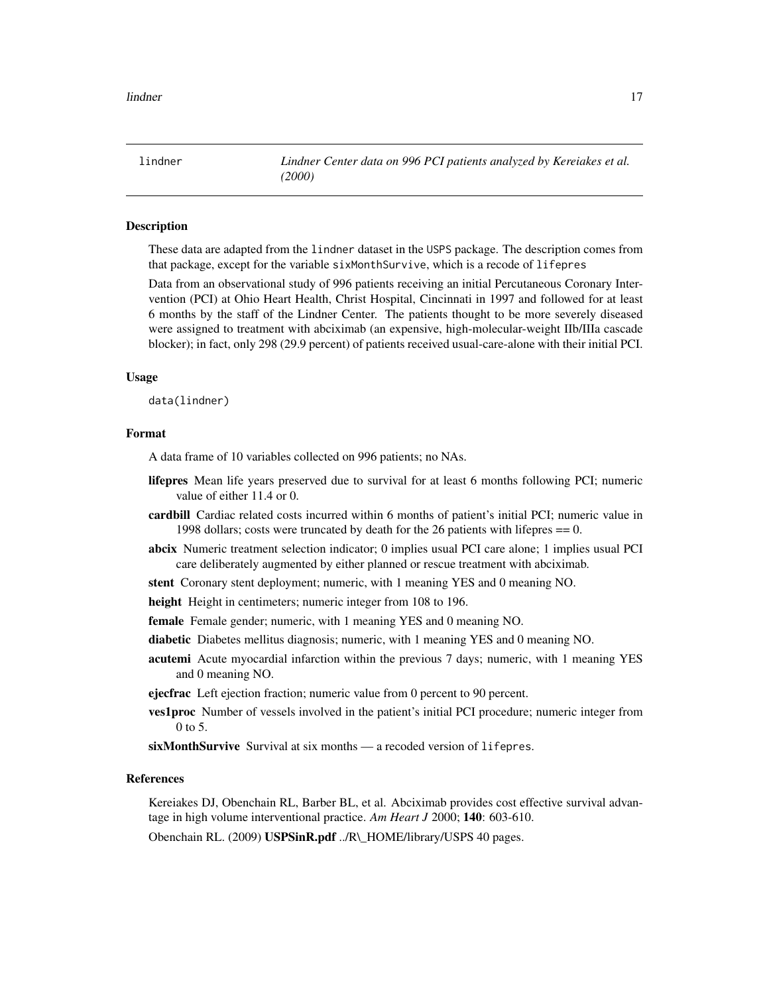<span id="page-16-0"></span>lindner *Lindner Center data on 996 PCI patients analyzed by Kereiakes et al. (2000)*

# Description

These data are adapted from the lindner dataset in the USPS package. The description comes from that package, except for the variable sixMonthSurvive, which is a recode of lifepres

Data from an observational study of 996 patients receiving an initial Percutaneous Coronary Intervention (PCI) at Ohio Heart Health, Christ Hospital, Cincinnati in 1997 and followed for at least 6 months by the staff of the Lindner Center. The patients thought to be more severely diseased were assigned to treatment with abciximab (an expensive, high-molecular-weight IIb/IIIa cascade blocker); in fact, only 298 (29.9 percent) of patients received usual-care-alone with their initial PCI.

#### Usage

data(lindner)

#### Format

A data frame of 10 variables collected on 996 patients; no NAs.

- lifepres Mean life years preserved due to survival for at least 6 months following PCI; numeric value of either 11.4 or 0.
- cardbill Cardiac related costs incurred within 6 months of patient's initial PCI; numeric value in 1998 dollars; costs were truncated by death for the 26 patients with lifepres == 0.
- abcix Numeric treatment selection indicator; 0 implies usual PCI care alone; 1 implies usual PCI care deliberately augmented by either planned or rescue treatment with abciximab.
- stent Coronary stent deployment; numeric, with 1 meaning YES and 0 meaning NO.
- height Height in centimeters; numeric integer from 108 to 196.
- female Female gender; numeric, with 1 meaning YES and 0 meaning NO.
- diabetic Diabetes mellitus diagnosis; numeric, with 1 meaning YES and 0 meaning NO.
- acutemi Acute myocardial infarction within the previous 7 days; numeric, with 1 meaning YES and 0 meaning NO.

ejecfrac Left ejection fraction; numeric value from 0 percent to 90 percent.

ves1proc Number of vessels involved in the patient's initial PCI procedure; numeric integer from 0 to 5.

sixMonthSurvive Survival at six months — a recoded version of lifepres.

## References

Kereiakes DJ, Obenchain RL, Barber BL, et al. Abciximab provides cost effective survival advantage in high volume interventional practice. *Am Heart J* 2000; 140: 603-610.

Obenchain RL. (2009) USPSinR.pdf ../R\\_HOME/library/USPS 40 pages.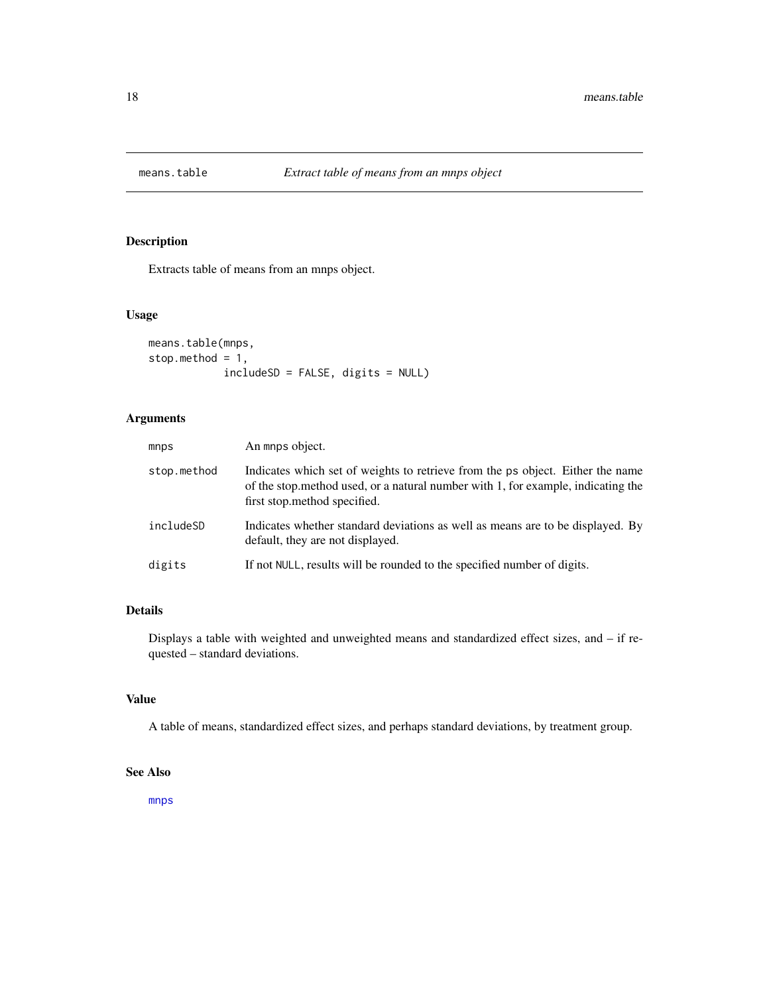<span id="page-17-0"></span>

Extracts table of means from an mnps object.

#### Usage

```
means.table(mnps,
stop.method = 1,
            includeSD = FALSE, digits = NULL)
```
# Arguments

| mnps        | An mnps object.                                                                                                                                                                                     |
|-------------|-----------------------------------------------------------------------------------------------------------------------------------------------------------------------------------------------------|
| stop.method | Indicates which set of weights to retrieve from the ps object. Either the name<br>of the stop, method used, or a natural number with 1, for example, indicating the<br>first stop.method specified. |
| includeSD   | Indicates whether standard deviations as well as means are to be displayed. By<br>default, they are not displayed.                                                                                  |
| digits      | If not NULL, results will be rounded to the specified number of digits.                                                                                                                             |

# Details

Displays a table with weighted and unweighted means and standardized effect sizes, and – if requested – standard deviations.

# Value

A table of means, standardized effect sizes, and perhaps standard deviations, by treatment group.

#### See Also

[mnps](#page-19-1)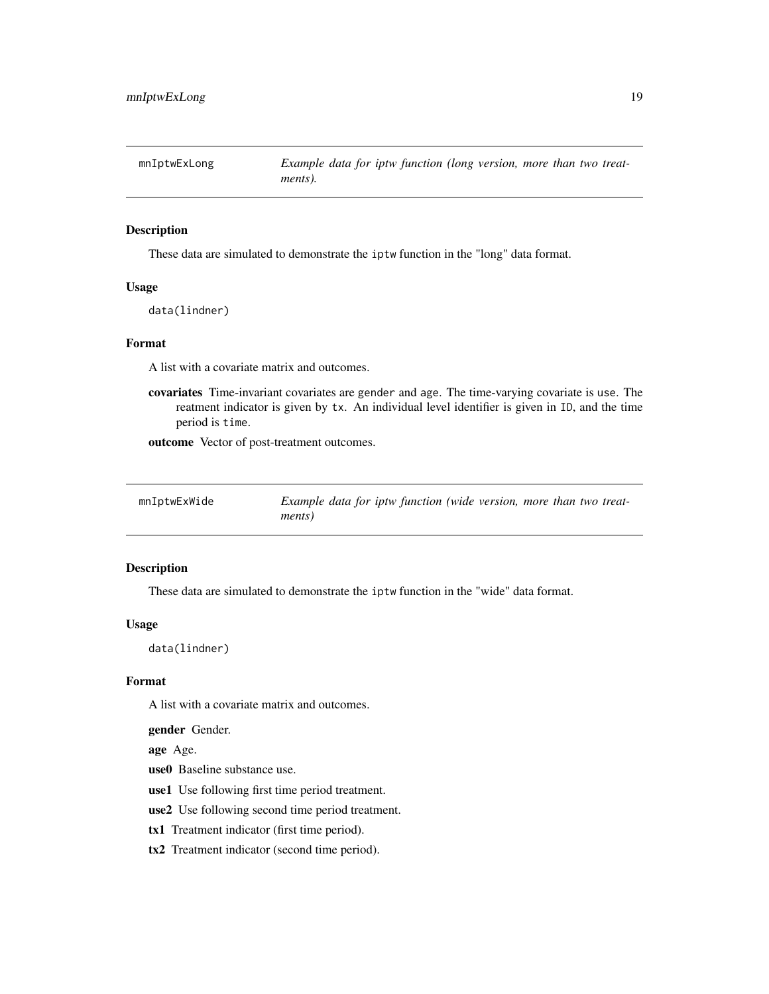<span id="page-18-0"></span>

These data are simulated to demonstrate the iptw function in the "long" data format.

#### Usage

data(lindner)

## Format

A list with a covariate matrix and outcomes.

covariates Time-invariant covariates are gender and age. The time-varying covariate is use. The reatment indicator is given by tx. An individual level identifier is given in ID, and the time period is time.

outcome Vector of post-treatment outcomes.

| mnIptwExWide | Example data for iptw function (wide version, more than two treat- |
|--------------|--------------------------------------------------------------------|
|              | ments)                                                             |

# Description

These data are simulated to demonstrate the iptw function in the "wide" data format.

#### Usage

data(lindner)

#### Format

A list with a covariate matrix and outcomes.

gender Gender.

age Age.

use0 Baseline substance use.

use1 Use following first time period treatment.

use2 Use following second time period treatment.

tx1 Treatment indicator (first time period).

tx2 Treatment indicator (second time period).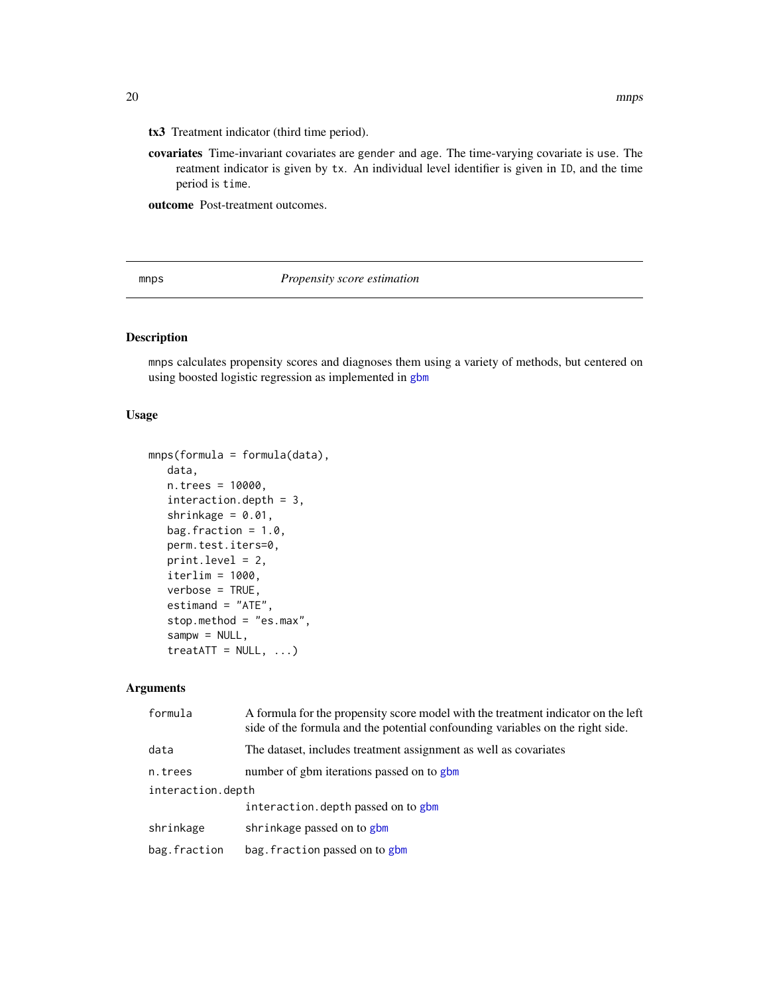- <span id="page-19-0"></span>tx3 Treatment indicator (third time period).
- covariates Time-invariant covariates are gender and age. The time-varying covariate is use. The reatment indicator is given by tx. An individual level identifier is given in ID, and the time period is time.

outcome Post-treatment outcomes.

<span id="page-19-1"></span>mnps *Propensity score estimation*

# Description

mnps calculates propensity scores and diagnoses them using a variety of methods, but centered on using boosted logistic regression as implemented in [gbm](#page-0-0)

# Usage

```
mnps(formula = formula(data),
  data,
  n.trees = 10000,
  interaction.depth = 3,
  shrinkage = 0.01,
  bag.fraction = 1.0,
  perm.test.iters=0,
  print.level = 2,
  iterlim = 1000,
  verbose = TRUE,
  estimand = "ATE",
  stop.method = "es.max",
   sampw = NULL,treatATT = NULL, ...
```

| formula           | A formula for the propensity score model with the treatment indicator on the left<br>side of the formula and the potential confounding variables on the right side. |  |
|-------------------|---------------------------------------------------------------------------------------------------------------------------------------------------------------------|--|
| data              | The dataset, includes treatment assignment as well as covariates                                                                                                    |  |
| n.trees           | number of gbm iterations passed on to gbm                                                                                                                           |  |
| interaction.depth |                                                                                                                                                                     |  |
|                   | interaction. depth passed on to gbm                                                                                                                                 |  |
| shrinkage         | shrinkage passed on to gbm                                                                                                                                          |  |
| bag.fraction      | bag. fraction passed on to gbm                                                                                                                                      |  |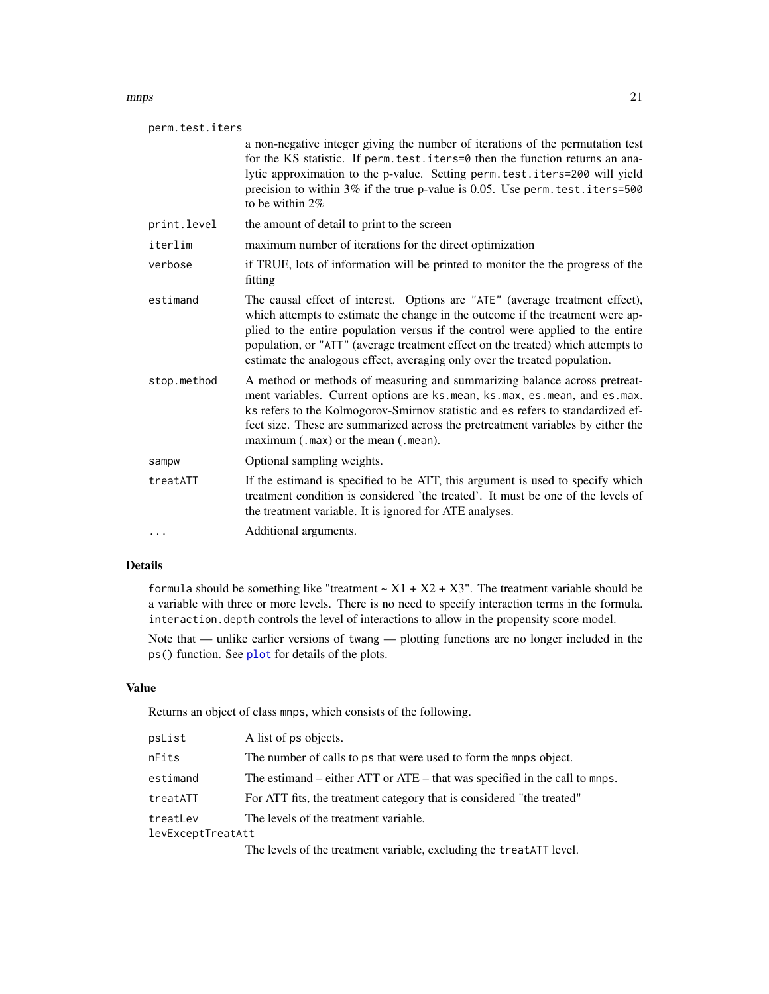#### <span id="page-20-0"></span>mnps 21

| perm.test.iters |                                                                                                                                                                                                                                                                                                                                                                                                                     |  |
|-----------------|---------------------------------------------------------------------------------------------------------------------------------------------------------------------------------------------------------------------------------------------------------------------------------------------------------------------------------------------------------------------------------------------------------------------|--|
|                 | a non-negative integer giving the number of iterations of the permutation test<br>for the KS statistic. If perm. test. iters=0 then the function returns an ana-<br>lytic approximation to the p-value. Setting perm. test. iters=200 will yield<br>precision to within $3\%$ if the true p-value is 0.05. Use perm. test. iters=500<br>to be within $2\%$                                                          |  |
| print.level     | the amount of detail to print to the screen                                                                                                                                                                                                                                                                                                                                                                         |  |
| iterlim         | maximum number of iterations for the direct optimization                                                                                                                                                                                                                                                                                                                                                            |  |
| verbose         | if TRUE, lots of information will be printed to monitor the the progress of the<br>fitting                                                                                                                                                                                                                                                                                                                          |  |
| estimand        | The causal effect of interest. Options are "ATE" (average treatment effect),<br>which attempts to estimate the change in the outcome if the treatment were ap-<br>plied to the entire population versus if the control were applied to the entire<br>population, or "ATT" (average treatment effect on the treated) which attempts to<br>estimate the analogous effect, averaging only over the treated population. |  |
| stop.method     | A method or methods of measuring and summarizing balance across pretreat-<br>ment variables. Current options are ks.mean, ks.max, es.mean, and es.max.<br>ks refers to the Kolmogorov-Smirnov statistic and es refers to standardized ef-<br>fect size. These are summarized across the pretreatment variables by either the<br>maximum $(\cdot \text{max})$ or the mean $(\cdot \text{mean})$ .                    |  |
| sampw           | Optional sampling weights.                                                                                                                                                                                                                                                                                                                                                                                          |  |
| treatATT        | If the estimand is specified to be ATT, this argument is used to specify which<br>treatment condition is considered 'the treated'. It must be one of the levels of<br>the treatment variable. It is ignored for ATE analyses.                                                                                                                                                                                       |  |
| $\cdots$        | Additional arguments.                                                                                                                                                                                                                                                                                                                                                                                               |  |

# Details

formula should be something like "treatment  $\sim X1 + X2 + X3$ ". The treatment variable should be a variable with three or more levels. There is no need to specify interaction terms in the formula. interaction.depth controls the level of interactions to allow in the propensity score model.

Note that — unlike earlier versions of twang — plotting functions are no longer included in the ps() function. See [plot](#page-0-0) for details of the plots.

#### Value

Returns an object of class mnps, which consists of the following.

| psList            | A list of ps objects.                                                      |
|-------------------|----------------------------------------------------------------------------|
| nFits             | The number of calls to ps that were used to form the mnps object.          |
| estimand          | The estimand – either ATT or ATE – that was specified in the call to mnps. |
| treatATT          | For ATT fits, the treatment category that is considered "the treated"      |
| treatLev          | The levels of the treatment variable.                                      |
| levExceptTreatAtt |                                                                            |
|                   | The levels of the treatment variable, excluding the treatATT level.        |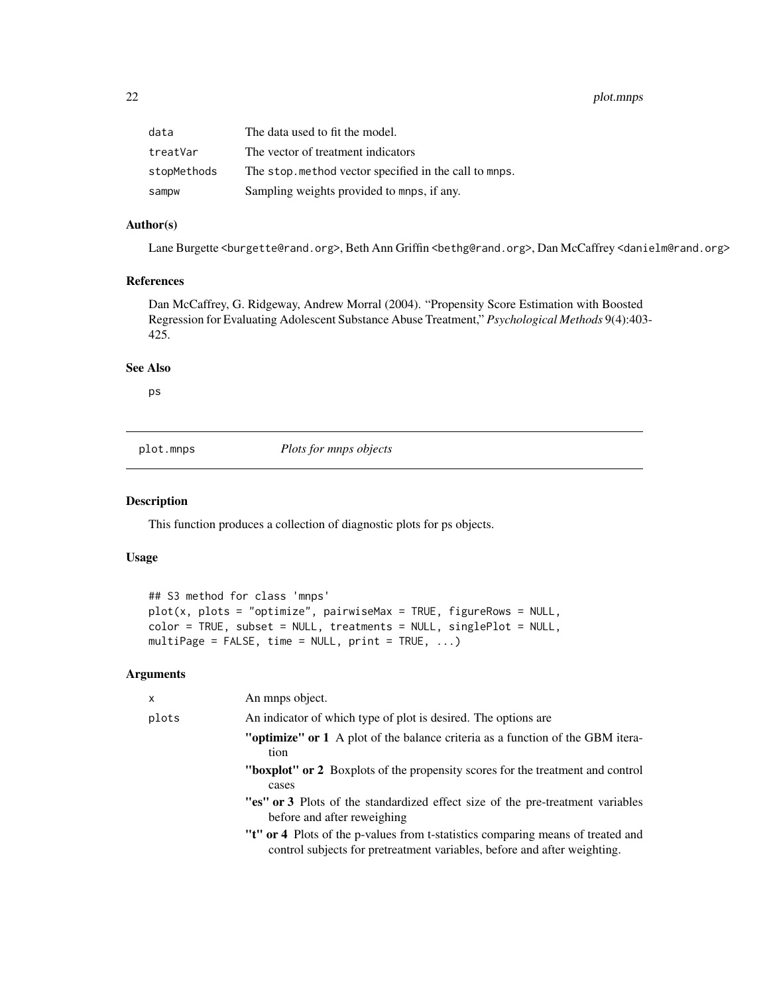<span id="page-21-0"></span>22 plot.mnps

| data        | The data used to fit the model.                        |
|-------------|--------------------------------------------------------|
| treatVar    | The vector of treatment indicators                     |
| stopMethods | The stop, method vector specified in the call to mnps. |
| sampw       | Sampling weights provided to mnps, if any.             |

#### Author(s)

Lane Burgette <burgette@rand.org>, Beth Ann Griffin <br/>bethg@rand.org>, Dan McCaffrey <danielm@rand.org>

#### References

Dan McCaffrey, G. Ridgeway, Andrew Morral (2004). "Propensity Score Estimation with Boosted Regression for Evaluating Adolescent Substance Abuse Treatment," *Psychological Methods* 9(4):403- 425.

# See Also

ps

plot.mnps *Plots for mnps objects*

#### Description

This function produces a collection of diagnostic plots for ps objects.

# Usage

```
## S3 method for class 'mnps'
plot(x, plots = "optimize", pairwiseMax = TRUE, figureRows = NULL,color = TRUE, subset = NULL, treatments = NULL, singlePlot = NULL,
multiPage = FALSE, time = NULL, print = TRUE, ...)
```

| x     | An mnps object.                                                                                                                                             |
|-------|-------------------------------------------------------------------------------------------------------------------------------------------------------------|
| plots | An indicator of which type of plot is desired. The options are                                                                                              |
|       | <b>"optimize" or 1</b> A plot of the balance criteria as a function of the GBM itera-<br>tion                                                               |
|       | <b>"boxplot"</b> or 2 Boxplots of the propensity scores for the treatment and control<br>cases                                                              |
|       | "es" or 3 Plots of the standardized effect size of the pre-treatment variables<br>before and after reweighing                                               |
|       | "t" or 4 Plots of the p-values from t-statistics comparing means of treated and<br>control subjects for pretreatment variables, before and after weighting. |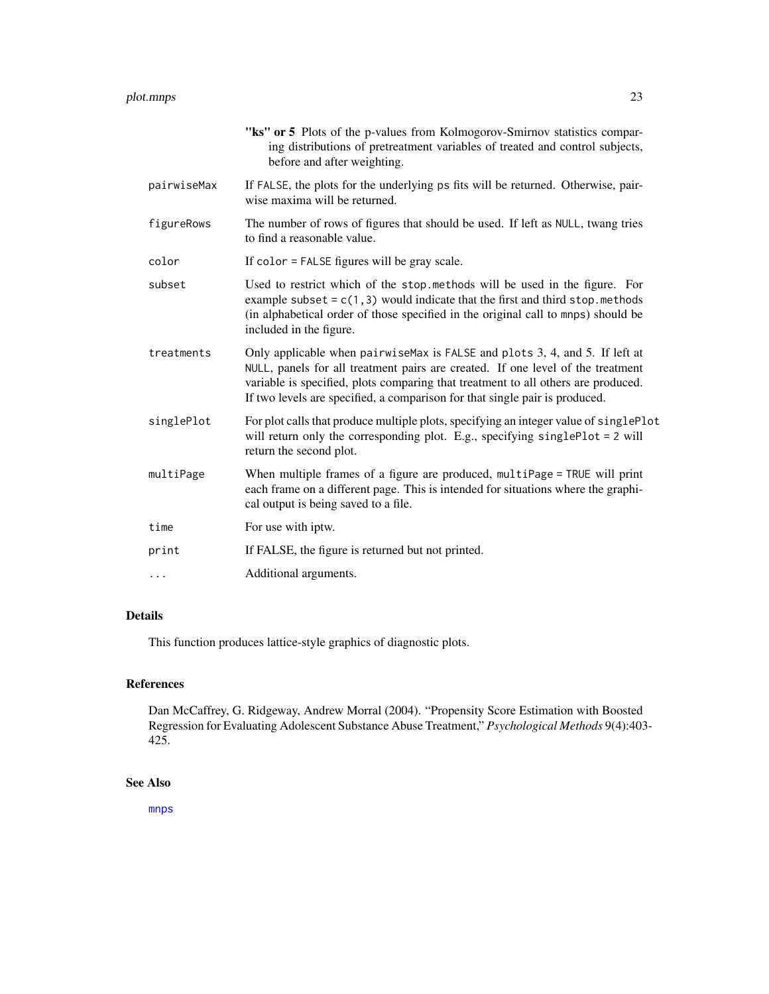<span id="page-22-0"></span>

|             | "ks" or 5 Plots of the p-values from Kolmogorov-Smirnov statistics compar-<br>ing distributions of pretreatment variables of treated and control subjects,<br>before and after weighting.                                                                                                                                           |
|-------------|-------------------------------------------------------------------------------------------------------------------------------------------------------------------------------------------------------------------------------------------------------------------------------------------------------------------------------------|
| pairwiseMax | If FALSE, the plots for the underlying ps fits will be returned. Otherwise, pair-<br>wise maxima will be returned.                                                                                                                                                                                                                  |
| figureRows  | The number of rows of figures that should be used. If left as NULL, twang tries<br>to find a reasonable value.                                                                                                                                                                                                                      |
| color       | If color = FALSE figures will be gray scale.                                                                                                                                                                                                                                                                                        |
| subset      | Used to restrict which of the stop. methods will be used in the figure. For<br>example subset = $c(1,3)$ would indicate that the first and third stop. methods<br>(in alphabetical order of those specified in the original call to mnps) should be<br>included in the figure.                                                      |
| treatments  | Only applicable when pairwise Max is FALSE and plots 3, 4, and 5. If left at<br>NULL, panels for all treatment pairs are created. If one level of the treatment<br>variable is specified, plots comparing that treatment to all others are produced.<br>If two levels are specified, a comparison for that single pair is produced. |
| singlePlot  | For plot calls that produce multiple plots, specifying an integer value of singlePlot<br>will return only the corresponding plot. E.g., specifying singlePlot = 2 will<br>return the second plot.                                                                                                                                   |
| multiPage   | When multiple frames of a figure are produced, multiPage = TRUE will print<br>each frame on a different page. This is intended for situations where the graphi-<br>cal output is being saved to a file.                                                                                                                             |
| time        | For use with iptw.                                                                                                                                                                                                                                                                                                                  |
| print       | If FALSE, the figure is returned but not printed.                                                                                                                                                                                                                                                                                   |
| $\cdots$    | Additional arguments.                                                                                                                                                                                                                                                                                                               |

# Details

This function produces lattice-style graphics of diagnostic plots.

# References

Dan McCaffrey, G. Ridgeway, Andrew Morral (2004). "Propensity Score Estimation with Boosted Regression for Evaluating Adolescent Substance Abuse Treatment," *Psychological Methods* 9(4):403- 425.

# See Also

[mnps](#page-19-1)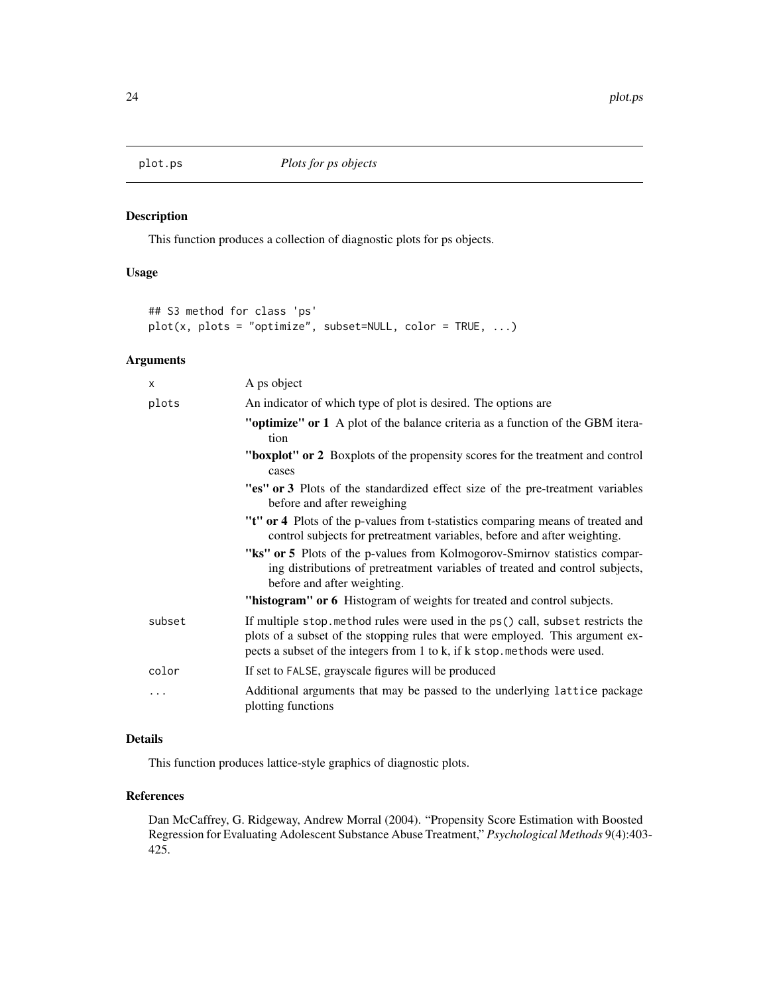<span id="page-23-0"></span>

This function produces a collection of diagnostic plots for ps objects.

# Usage

```
## S3 method for class 'ps'
plot(x, plots = " optimize", subset=NULL, color = TRUE, ...)
```
# Arguments

| X      | A ps object                                                                                                                                                                                                                                  |
|--------|----------------------------------------------------------------------------------------------------------------------------------------------------------------------------------------------------------------------------------------------|
| plots  | An indicator of which type of plot is desired. The options are                                                                                                                                                                               |
|        | "optimize" or 1 A plot of the balance criteria as a function of the GBM itera-<br>tion                                                                                                                                                       |
|        | "boxplot" or 2 Boxplots of the propensity scores for the treatment and control<br>cases                                                                                                                                                      |
|        | "es" or 3 Plots of the standardized effect size of the pre-treatment variables<br>before and after reweighing                                                                                                                                |
|        | "t" or 4 Plots of the p-values from t-statistics comparing means of treated and<br>control subjects for pretreatment variables, before and after weighting.                                                                                  |
|        | "ks" or 5 Plots of the p-values from Kolmogorov-Smirnov statistics compar-<br>ing distributions of pretreatment variables of treated and control subjects,<br>before and after weighting.                                                    |
|        | "histogram" or 6 Histogram of weights for treated and control subjects.                                                                                                                                                                      |
| subset | If multiple stop method rules were used in the ps() call, subset restricts the<br>plots of a subset of the stopping rules that were employed. This argument ex-<br>pects a subset of the integers from 1 to k, if k stop. methods were used. |
| color  | If set to FALSE, grayscale figures will be produced                                                                                                                                                                                          |
| .      | Additional arguments that may be passed to the underlying lattice package<br>plotting functions                                                                                                                                              |

# Details

This function produces lattice-style graphics of diagnostic plots.

## References

Dan McCaffrey, G. Ridgeway, Andrew Morral (2004). "Propensity Score Estimation with Boosted Regression for Evaluating Adolescent Substance Abuse Treatment," *Psychological Methods* 9(4):403- 425.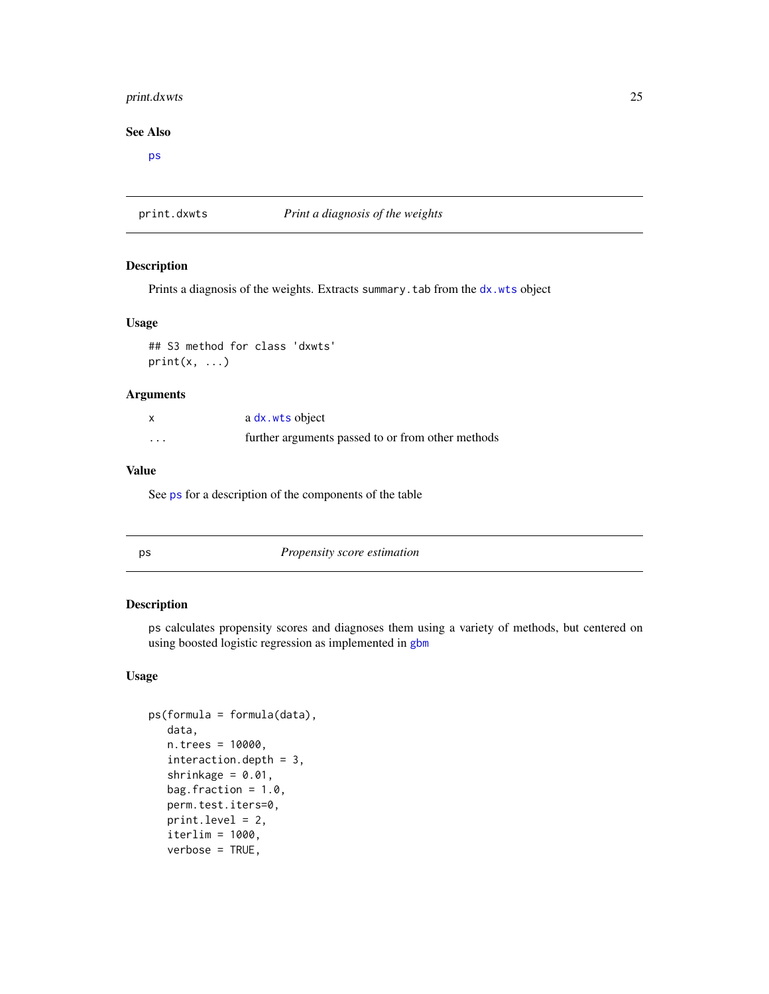# <span id="page-24-0"></span>print.dxwts 25

#### See Also

[ps](#page-24-1)

print.dxwts *Print a diagnosis of the weights*

#### Description

Prints a diagnosis of the weights. Extracts summary.tab from the [dx.wts](#page-7-1) object

#### Usage

## S3 method for class 'dxwts'  $print(x, \ldots)$ 

# Arguments

|                         | a dx.wts object                                   |
|-------------------------|---------------------------------------------------|
| $\cdot$ $\cdot$ $\cdot$ | further arguments passed to or from other methods |

#### Value

See [ps](#page-24-1) for a description of the components of the table

<span id="page-24-1"></span>

|                    | ×           |
|--------------------|-------------|
| ٩<br>.,<br>×<br>۰. | I<br>$\sim$ |

**Propensity score estimation** 

# Description

ps calculates propensity scores and diagnoses them using a variety of methods, but centered on using boosted logistic regression as implemented in [gbm](#page-0-0)

# Usage

```
ps(formula = formula(data),
  data,
  n.trees = 10000,
  interaction.depth = 3,
  shrinkage = 0.01,
  bag.fraction = 1.0,
  perm.test.iters=0,
  print.level = 2,
  iterlim = 1000,
  verbose = TRUE,
```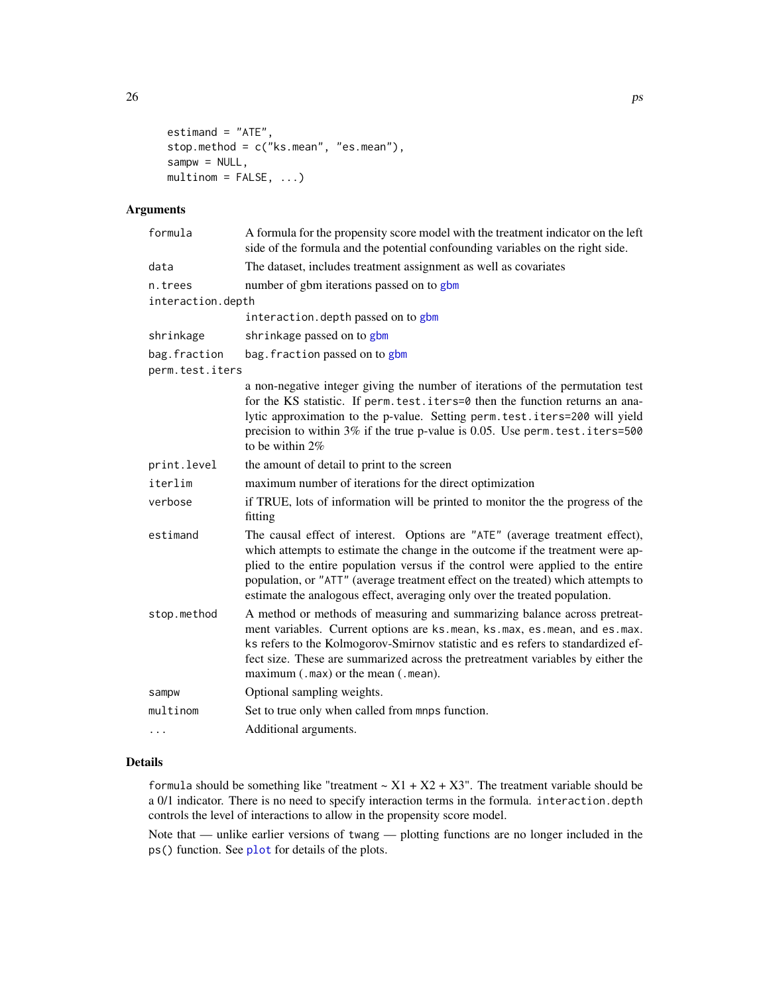```
estimand = "ATE",stop.method = c("ks.mean", "es.mean"),
sampw = NULL,multinom = FALSE, ...)
```
# Arguments

| A formula for the propensity score model with the treatment indicator on the left<br>side of the formula and the potential confounding variables on the right side.                                                                                                                                                                                                                                                 |
|---------------------------------------------------------------------------------------------------------------------------------------------------------------------------------------------------------------------------------------------------------------------------------------------------------------------------------------------------------------------------------------------------------------------|
| The dataset, includes treatment assignment as well as covariates                                                                                                                                                                                                                                                                                                                                                    |
| number of gbm iterations passed on to gbm<br>interaction.depth                                                                                                                                                                                                                                                                                                                                                      |
| interaction.depth passed on to gbm                                                                                                                                                                                                                                                                                                                                                                                  |
| shrinkage passed on to gbm                                                                                                                                                                                                                                                                                                                                                                                          |
| bag. fraction passed on to gbm                                                                                                                                                                                                                                                                                                                                                                                      |
| perm.test.iters                                                                                                                                                                                                                                                                                                                                                                                                     |
| a non-negative integer giving the number of iterations of the permutation test<br>for the KS statistic. If perm. test. iters=0 then the function returns an ana-<br>lytic approximation to the p-value. Setting perm.test.iters=200 will yield<br>precision to within 3% if the true p-value is 0.05. Use perm. test. iters=500<br>to be within $2\%$                                                               |
| the amount of detail to print to the screen                                                                                                                                                                                                                                                                                                                                                                         |
| maximum number of iterations for the direct optimization                                                                                                                                                                                                                                                                                                                                                            |
| if TRUE, lots of information will be printed to monitor the the progress of the<br>fitting                                                                                                                                                                                                                                                                                                                          |
| The causal effect of interest. Options are "ATE" (average treatment effect),<br>which attempts to estimate the change in the outcome if the treatment were ap-<br>plied to the entire population versus if the control were applied to the entire<br>population, or "ATT" (average treatment effect on the treated) which attempts to<br>estimate the analogous effect, averaging only over the treated population. |
| A method or methods of measuring and summarizing balance across pretreat-<br>ment variables. Current options are ks.mean, ks.max, es.mean, and es.max.<br>ks refers to the Kolmogorov-Smirnov statistic and es refers to standardized ef-<br>fect size. These are summarized across the pretreatment variables by either the<br>$maximum (.max)$ or the mean $(.mean)$ .                                            |
| Optional sampling weights.                                                                                                                                                                                                                                                                                                                                                                                          |
| Set to true only when called from mnps function.                                                                                                                                                                                                                                                                                                                                                                    |
| Additional arguments.                                                                                                                                                                                                                                                                                                                                                                                               |
|                                                                                                                                                                                                                                                                                                                                                                                                                     |

### Details

formula should be something like "treatment  $\sim X1 + X2 + X3$ ". The treatment variable should be a 0/1 indicator. There is no need to specify interaction terms in the formula. interaction.depth controls the level of interactions to allow in the propensity score model.

Note that — unlike earlier versions of twang — plotting functions are no longer included in the ps() function. See [plot](#page-0-0) for details of the plots.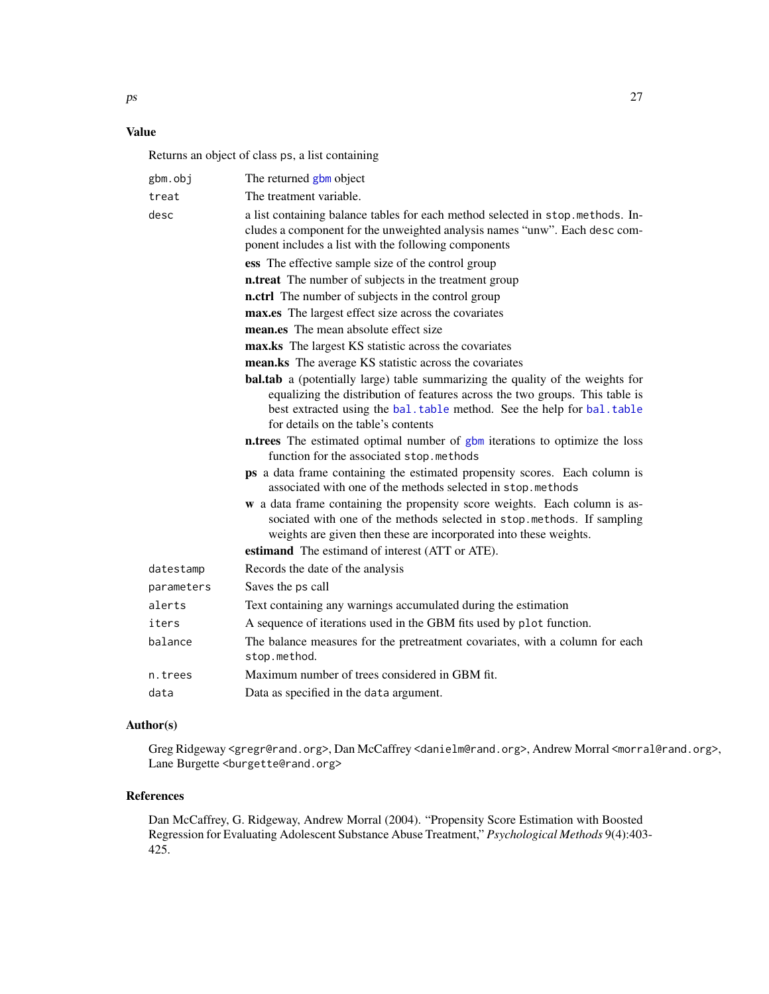# <span id="page-26-0"></span>Value

Returns an object of class ps, a list containing

| gbm.obj    | The returned gbm object                                                                                                                                                                                                                                                                                                                                                                                            |
|------------|--------------------------------------------------------------------------------------------------------------------------------------------------------------------------------------------------------------------------------------------------------------------------------------------------------------------------------------------------------------------------------------------------------------------|
| treat      | The treatment variable.                                                                                                                                                                                                                                                                                                                                                                                            |
| desc       | a list containing balance tables for each method selected in stop.methods. In-<br>cludes a component for the unweighted analysis names "unw". Each desc com-<br>ponent includes a list with the following components                                                                                                                                                                                               |
|            | ess The effective sample size of the control group                                                                                                                                                                                                                                                                                                                                                                 |
|            | <b>n.treat</b> The number of subjects in the treatment group                                                                                                                                                                                                                                                                                                                                                       |
|            | n.ctrl The number of subjects in the control group                                                                                                                                                                                                                                                                                                                                                                 |
|            | max.es The largest effect size across the covariates                                                                                                                                                                                                                                                                                                                                                               |
|            | mean.es The mean absolute effect size                                                                                                                                                                                                                                                                                                                                                                              |
|            | max.ks The largest KS statistic across the covariates                                                                                                                                                                                                                                                                                                                                                              |
|            | mean.ks The average KS statistic across the covariates                                                                                                                                                                                                                                                                                                                                                             |
|            | <b>bal.tab</b> a (potentially large) table summarizing the quality of the weights for<br>equalizing the distribution of features across the two groups. This table is<br>best extracted using the bal. table method. See the help for bal. table<br>for details on the table's contents<br>n.trees The estimated optimal number of gbm iterations to optimize the loss<br>function for the associated stop.methods |
|            | ps a data frame containing the estimated propensity scores. Each column is<br>associated with one of the methods selected in stop.methods                                                                                                                                                                                                                                                                          |
|            | w a data frame containing the propensity score weights. Each column is as-<br>sociated with one of the methods selected in stop.methods. If sampling<br>weights are given then these are incorporated into these weights.                                                                                                                                                                                          |
|            | estimand The estimand of interest (ATT or ATE).                                                                                                                                                                                                                                                                                                                                                                    |
| datestamp  | Records the date of the analysis                                                                                                                                                                                                                                                                                                                                                                                   |
| parameters | Saves the ps call                                                                                                                                                                                                                                                                                                                                                                                                  |
| alerts     | Text containing any warnings accumulated during the estimation                                                                                                                                                                                                                                                                                                                                                     |
| iters      | A sequence of iterations used in the GBM fits used by plot function.                                                                                                                                                                                                                                                                                                                                               |
| balance    | The balance measures for the pretreatment covariates, with a column for each<br>stop.method.                                                                                                                                                                                                                                                                                                                       |
| n.trees    | Maximum number of trees considered in GBM fit.                                                                                                                                                                                                                                                                                                                                                                     |
| data       | Data as specified in the data argument.                                                                                                                                                                                                                                                                                                                                                                            |

# Author(s)

Greg Ridgeway <gregr@rand.org>, Dan McCaffrey <danielm@rand.org>, Andrew Morral <morral@rand.org>, Lane Burgette <br/>burgette@rand.org>

#### References

Dan McCaffrey, G. Ridgeway, Andrew Morral (2004). "Propensity Score Estimation with Boosted Regression for Evaluating Adolescent Substance Abuse Treatment," *Psychological Methods* 9(4):403- 425.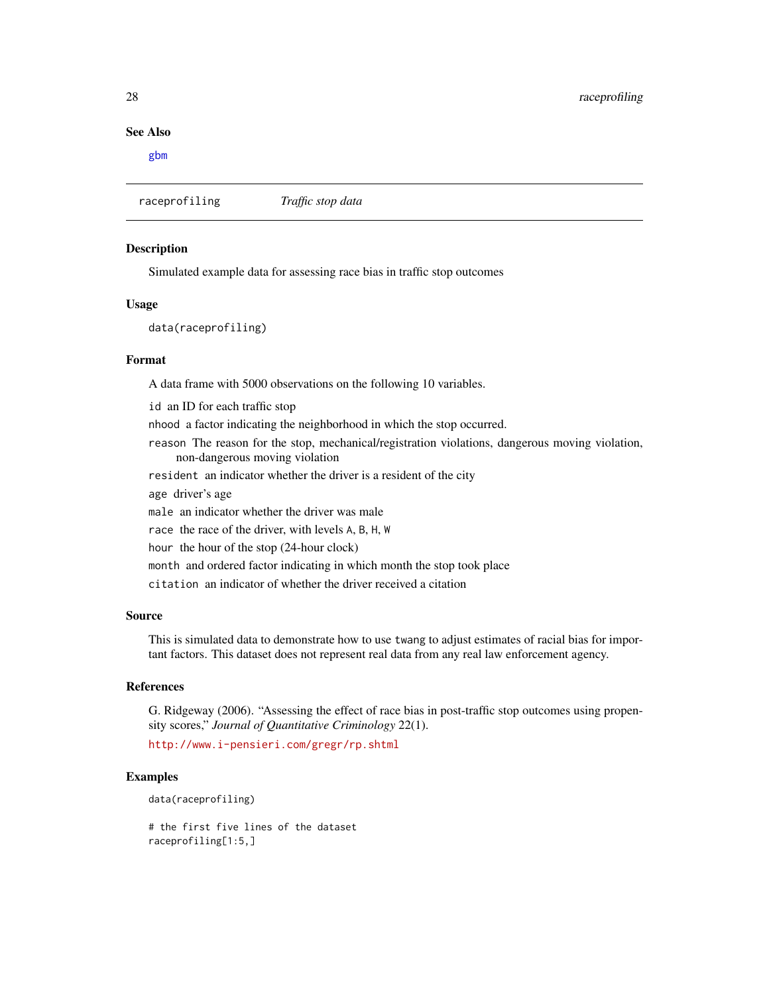#### See Also

[gbm](#page-0-0)

raceprofiling *Traffic stop data*

#### Description

Simulated example data for assessing race bias in traffic stop outcomes

## Usage

data(raceprofiling)

#### Format

A data frame with 5000 observations on the following 10 variables.

id an ID for each traffic stop nhood a factor indicating the neighborhood in which the stop occurred. reason The reason for the stop, mechanical/registration violations, dangerous moving violation, non-dangerous moving violation resident an indicator whether the driver is a resident of the city age driver's age male an indicator whether the driver was male race the race of the driver, with levels A, B, H, W hour the hour of the stop (24-hour clock) month and ordered factor indicating in which month the stop took place citation an indicator of whether the driver received a citation

#### Source

This is simulated data to demonstrate how to use twang to adjust estimates of racial bias for important factors. This dataset does not represent real data from any real law enforcement agency.

# References

G. Ridgeway (2006). "Assessing the effect of race bias in post-traffic stop outcomes using propensity scores," *Journal of Quantitative Criminology* 22(1).

<http://www.i-pensieri.com/gregr/rp.shtml>

#### Examples

data(raceprofiling)

# the first five lines of the dataset raceprofiling[1:5,]

<span id="page-27-0"></span>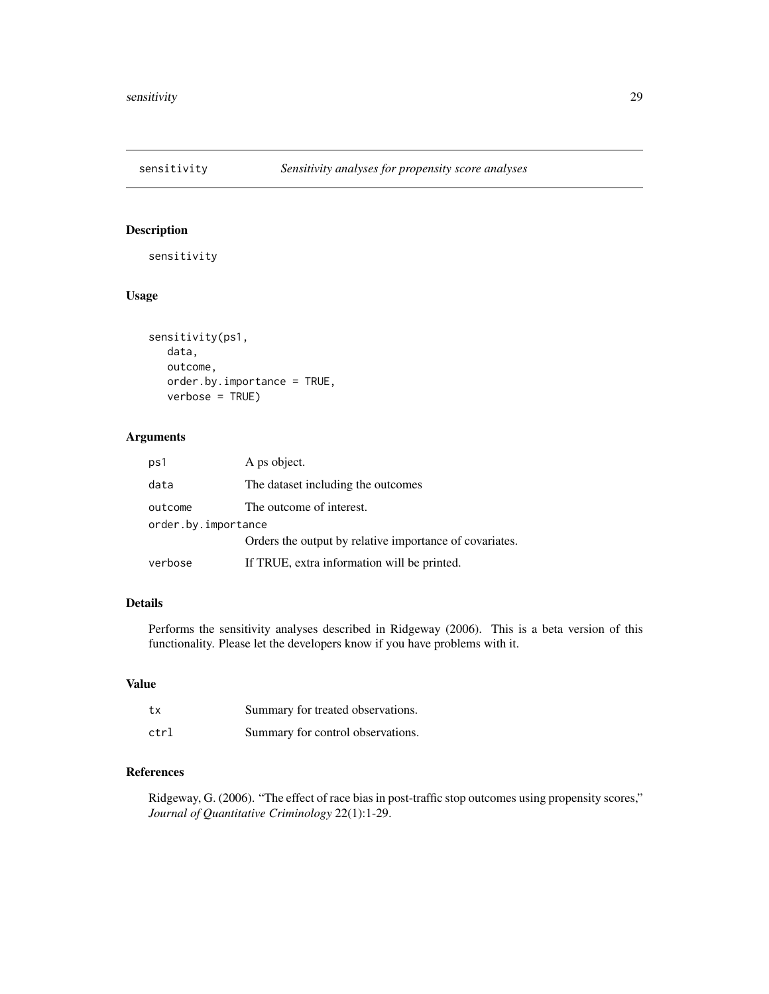<span id="page-28-0"></span>

sensitivity

# Usage

```
sensitivity(ps1,
  data,
  outcome,
  order.by.importance = TRUE,
  verbose = TRUE)
```
# Arguments

| ps1                 | A ps object.                                            |  |
|---------------------|---------------------------------------------------------|--|
| data                | The dataset including the outcomes                      |  |
| outcome             | The outcome of interest.                                |  |
| order.by.importance |                                                         |  |
|                     | Orders the output by relative importance of covariates. |  |
| verbose             | If TRUE, extra information will be printed.             |  |

#### Details

Performs the sensitivity analyses described in Ridgeway (2006). This is a beta version of this functionality. Please let the developers know if you have problems with it.

# Value

| tx   | Summary for treated observations. |
|------|-----------------------------------|
| ctrl | Summary for control observations. |

# References

Ridgeway, G. (2006). "The effect of race bias in post-traffic stop outcomes using propensity scores," *Journal of Quantitative Criminology* 22(1):1-29.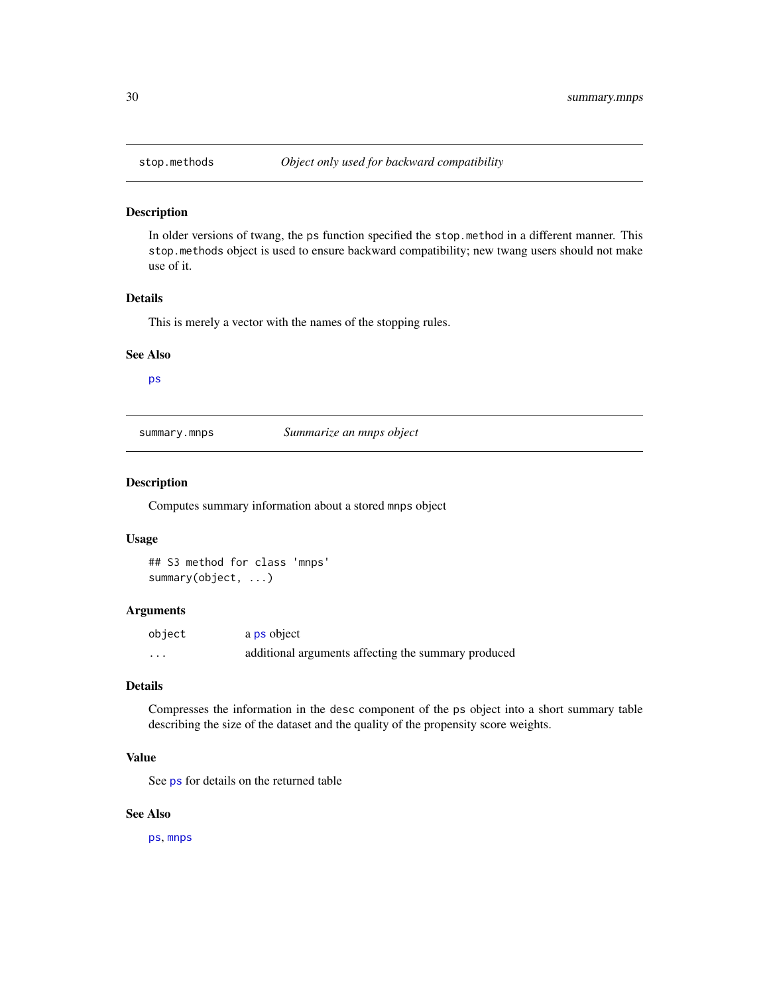<span id="page-29-0"></span>

In older versions of twang, the ps function specified the stop.method in a different manner. This stop.methods object is used to ensure backward compatibility; new twang users should not make use of it.

#### Details

This is merely a vector with the names of the stopping rules.

#### See Also

[ps](#page-24-1)

summary.mnps *Summarize an mnps object*

# Description

Computes summary information about a stored mnps object

# Usage

## S3 method for class 'mnps' summary(object, ...)

## Arguments

| object | a ps object                                         |
|--------|-----------------------------------------------------|
| .      | additional arguments affecting the summary produced |

#### Details

Compresses the information in the desc component of the ps object into a short summary table describing the size of the dataset and the quality of the propensity score weights.

# Value

See [ps](#page-24-1) for details on the returned table

## See Also

[ps](#page-24-1), [mnps](#page-19-1)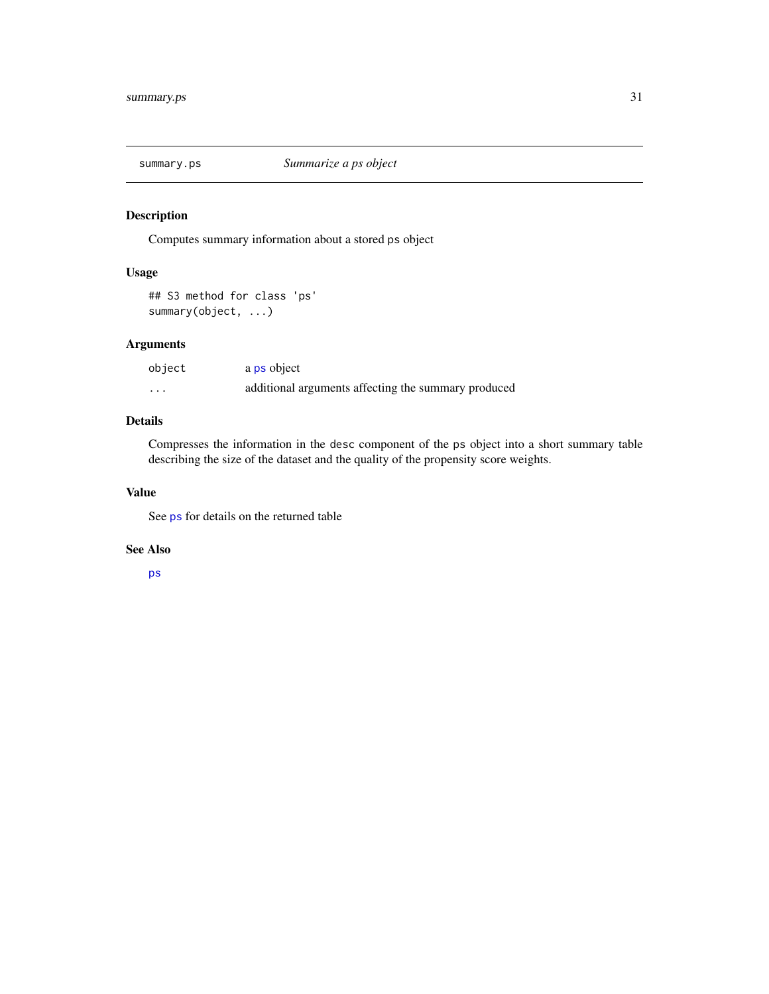<span id="page-30-0"></span>

Computes summary information about a stored ps object

# Usage

## S3 method for class 'ps' summary(object, ...)

# Arguments

| object | a ps object                                         |
|--------|-----------------------------------------------------|
| .      | additional arguments affecting the summary produced |

# Details

Compresses the information in the desc component of the ps object into a short summary table describing the size of the dataset and the quality of the propensity score weights.

#### Value

See [ps](#page-24-1) for details on the returned table

#### See Also

[ps](#page-24-1)